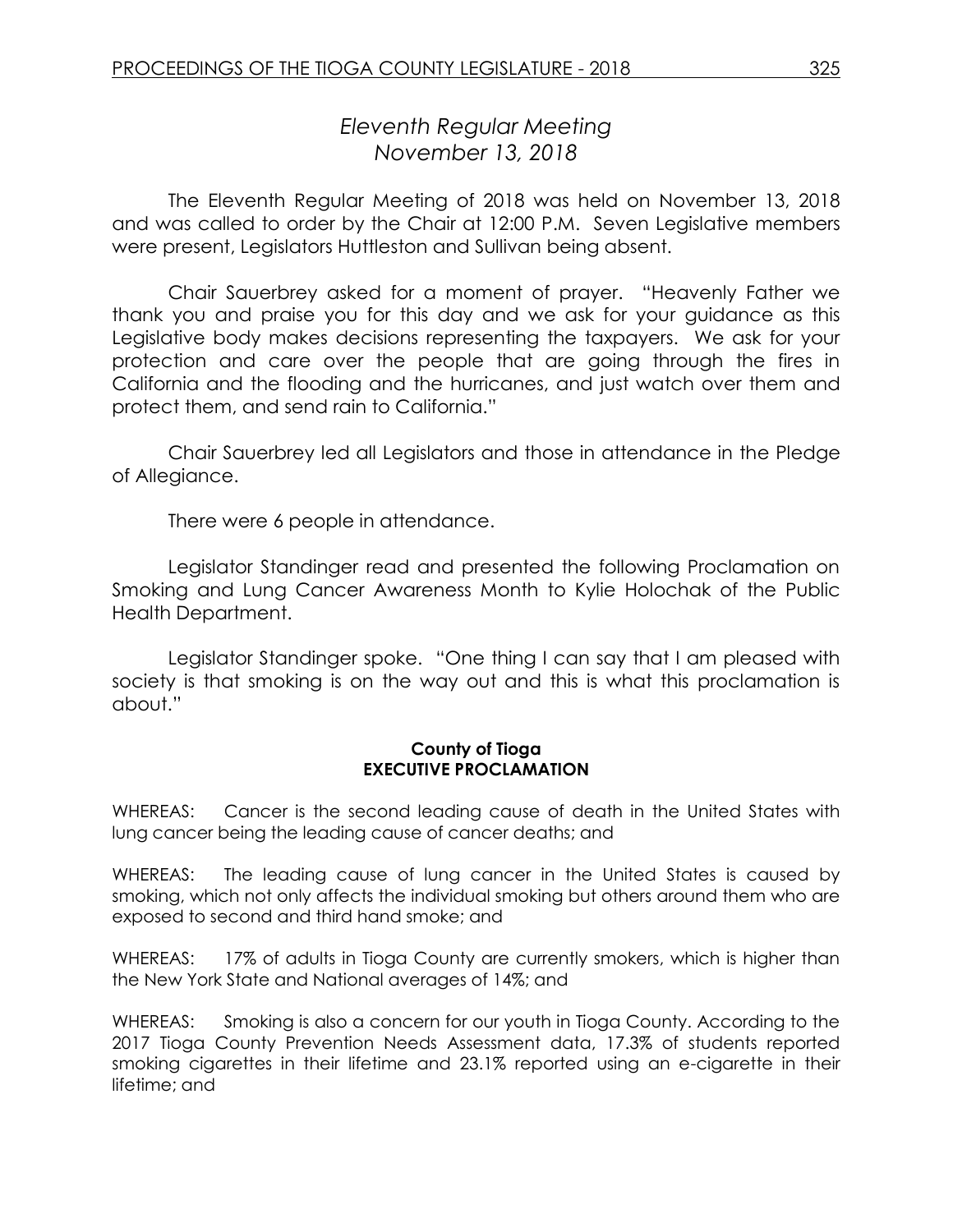# *Eleventh Regular Meeting November 13, 2018*

The Eleventh Regular Meeting of 2018 was held on November 13, 2018 and was called to order by the Chair at 12:00 P.M. Seven Legislative members were present, Legislators Huttleston and Sullivan being absent.

Chair Sauerbrey asked for a moment of prayer. "Heavenly Father we thank you and praise you for this day and we ask for your guidance as this Legislative body makes decisions representing the taxpayers. We ask for your protection and care over the people that are going through the fires in California and the flooding and the hurricanes, and just watch over them and protect them, and send rain to California."

Chair Sauerbrey led all Legislators and those in attendance in the Pledge of Allegiance.

There were 6 people in attendance.

Legislator Standinger read and presented the following Proclamation on Smoking and Lung Cancer Awareness Month to Kylie Holochak of the Public Health Department.

Legislator Standinger spoke. "One thing I can say that I am pleased with society is that smoking is on the way out and this is what this proclamation is about."

#### **County of Tioga EXECUTIVE PROCLAMATION**

WHEREAS: Cancer is the second leading cause of death in the United States with lung cancer being the leading cause of cancer deaths; and

WHEREAS: The leading cause of lung cancer in the United States is caused by smoking, which not only affects the individual smoking but others around them who are exposed to second and third hand smoke; and

WHEREAS: 17% of adults in Tioga County are currently smokers, which is higher than the New York State and National averages of 14%; and

WHEREAS: Smoking is also a concern for our youth in Tioga County. According to the 2017 Tioga County Prevention Needs Assessment data, 17.3% of students reported smoking cigarettes in their lifetime and 23.1% reported using an e-cigarette in their lifetime; and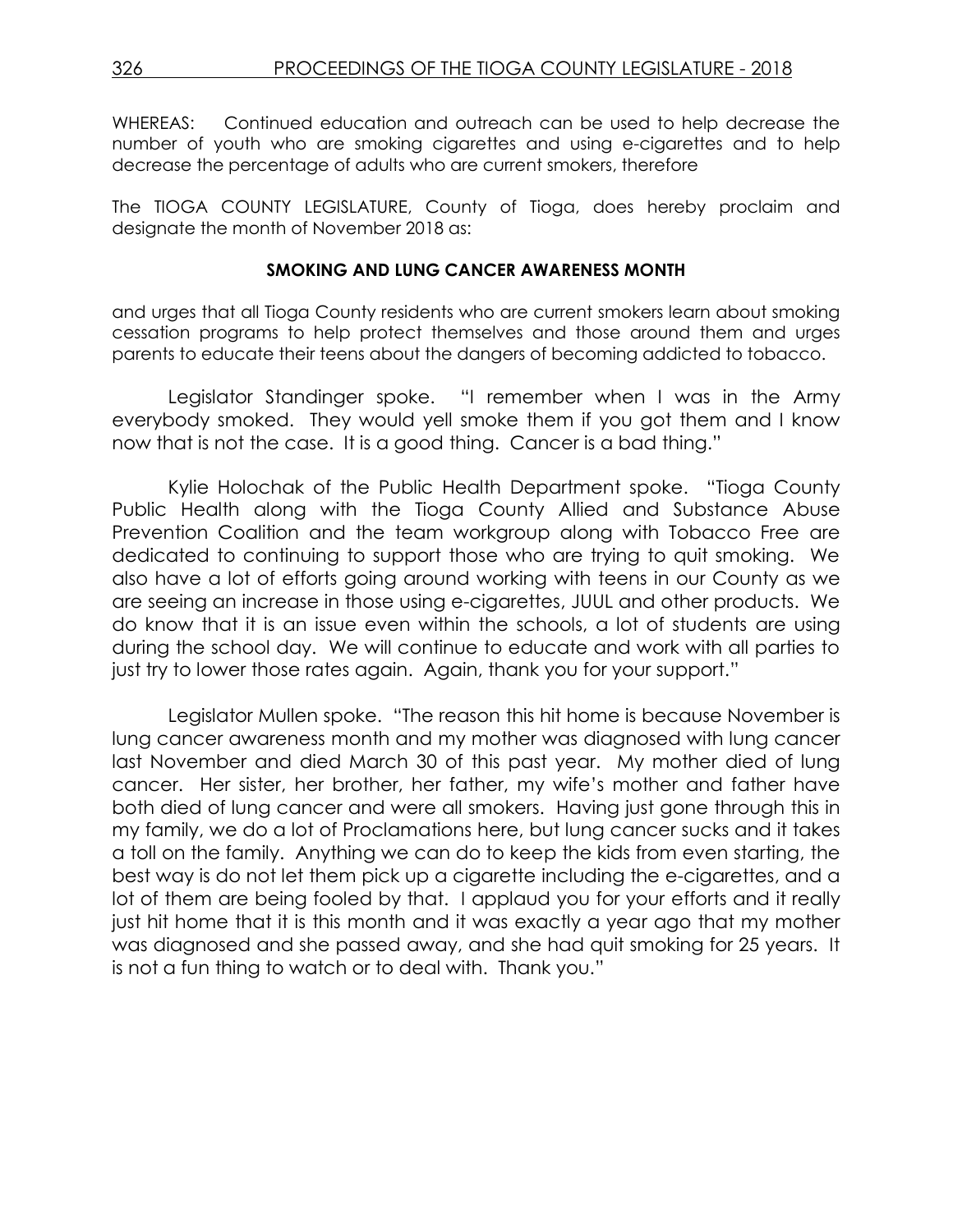WHEREAS: Continued education and outreach can be used to help decrease the number of youth who are smoking cigarettes and using e-cigarettes and to help decrease the percentage of adults who are current smokers, therefore

The TIOGA COUNTY LEGISLATURE, County of Tioga, does hereby proclaim and designate the month of November 2018 as:

#### **SMOKING AND LUNG CANCER AWARENESS MONTH**

and urges that all Tioga County residents who are current smokers learn about smoking cessation programs to help protect themselves and those around them and urges parents to educate their teens about the dangers of becoming addicted to tobacco.

Legislator Standinger spoke. "I remember when I was in the Army everybody smoked. They would yell smoke them if you got them and I know now that is not the case. It is a good thing. Cancer is a bad thing."

Kylie Holochak of the Public Health Department spoke. "Tioga County Public Health along with the Tioga County Allied and Substance Abuse Prevention Coalition and the team workgroup along with Tobacco Free are dedicated to continuing to support those who are trying to quit smoking. We also have a lot of efforts going around working with teens in our County as we are seeing an increase in those using e-cigarettes, JUUL and other products. We do know that it is an issue even within the schools, a lot of students are using during the school day. We will continue to educate and work with all parties to just try to lower those rates again. Again, thank you for your support."

Legislator Mullen spoke. "The reason this hit home is because November is lung cancer awareness month and my mother was diagnosed with lung cancer last November and died March 30 of this past year. My mother died of lung cancer. Her sister, her brother, her father, my wife's mother and father have both died of lung cancer and were all smokers. Having just gone through this in my family, we do a lot of Proclamations here, but lung cancer sucks and it takes a toll on the family. Anything we can do to keep the kids from even starting, the best way is do not let them pick up a cigarette including the e-cigarettes, and a lot of them are being fooled by that. I applaud you for your efforts and it really just hit home that it is this month and it was exactly a year ago that my mother was diagnosed and she passed away, and she had quit smoking for 25 years. It is not a fun thing to watch or to deal with. Thank you."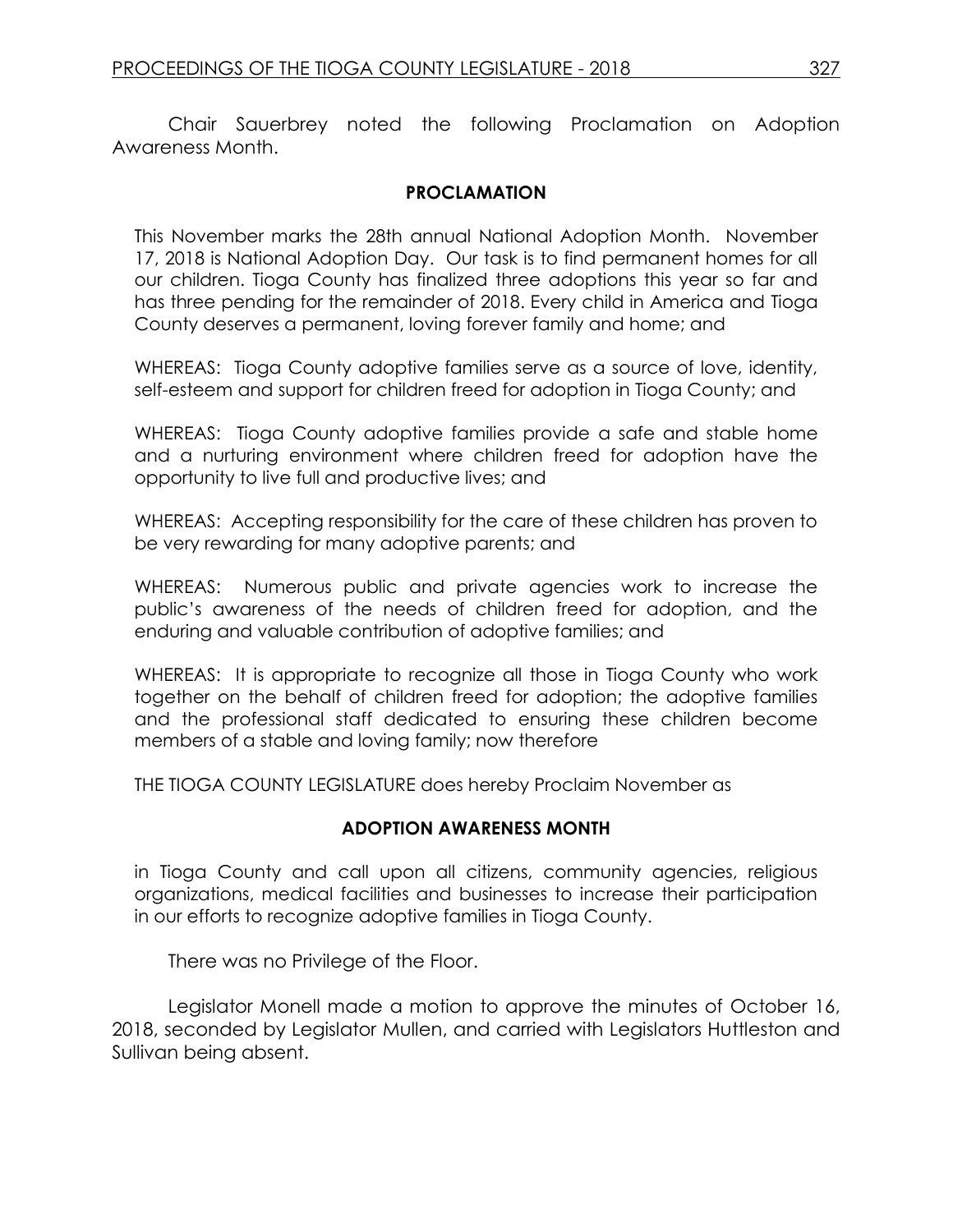Chair Sauerbrey noted the following Proclamation on Adoption Awareness Month.

## **PROCLAMATION**

This November marks the 28th annual National Adoption Month. November 17, 2018 is National Adoption Day. Our task is to find permanent homes for all our children. Tioga County has finalized three adoptions this year so far and has three pending for the remainder of 2018. Every child in America and Tioga County deserves a permanent, loving forever family and home; and

WHEREAS: Tioga County adoptive families serve as a source of love, identity, self-esteem and support for children freed for adoption in Tioga County; and

WHEREAS: Tioga County adoptive families provide a safe and stable home and a nurturing environment where children freed for adoption have the opportunity to live full and productive lives; and

WHEREAS: Accepting responsibility for the care of these children has proven to be very rewarding for many adoptive parents; and

WHEREAS: Numerous public and private agencies work to increase the public's awareness of the needs of children freed for adoption, and the enduring and valuable contribution of adoptive families; and

WHEREAS: It is appropriate to recognize all those in Tioga County who work together on the behalf of children freed for adoption; the adoptive families and the professional staff dedicated to ensuring these children become members of a stable and loving family; now therefore

THE TIOGA COUNTY LEGISLATURE does hereby Proclaim November as

## **ADOPTION AWARENESS MONTH**

in Tioga County and call upon all citizens, community agencies, religious organizations, medical facilities and businesses to increase their participation in our efforts to recognize adoptive families in Tioga County.

There was no Privilege of the Floor.

Legislator Monell made a motion to approve the minutes of October 16, 2018, seconded by Legislator Mullen, and carried with Legislators Huttleston and Sullivan being absent.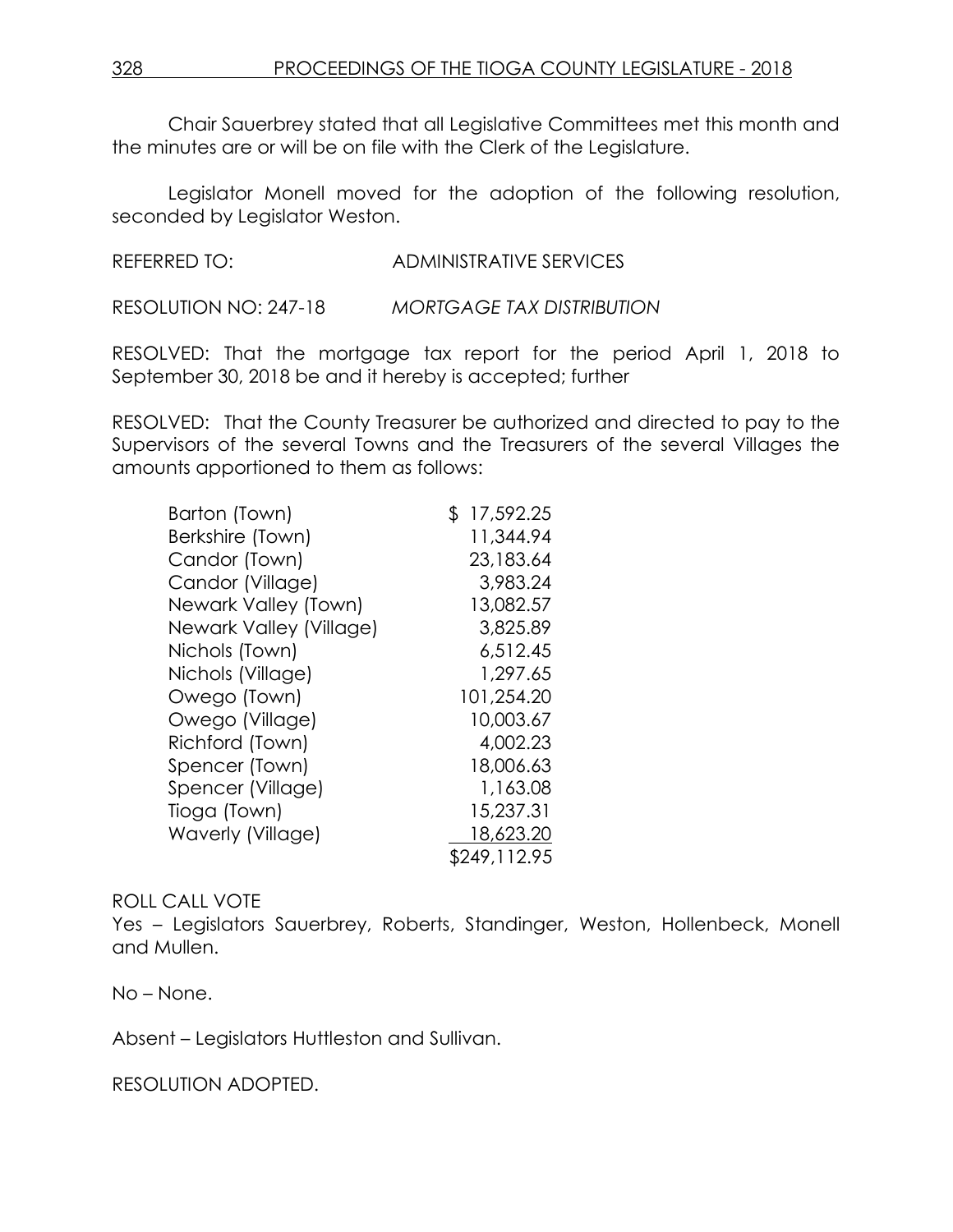Chair Sauerbrey stated that all Legislative Committees met this month and the minutes are or will be on file with the Clerk of the Legislature.

Legislator Monell moved for the adoption of the following resolution, seconded by Legislator Weston.

REFERRED TO: ADMINISTRATIVE SERVICES

RESOLUTION NO: 247-18 *MORTGAGE TAX DISTRIBUTION*

RESOLVED: That the mortgage tax report for the period April 1, 2018 to September 30, 2018 be and it hereby is accepted; further

RESOLVED: That the County Treasurer be authorized and directed to pay to the Supervisors of the several Towns and the Treasurers of the several Villages the amounts apportioned to them as follows:

| Barton (Town)           | \$17,592.25  |
|-------------------------|--------------|
| Berkshire (Town)        | 11,344.94    |
| Candor (Town)           | 23,183.64    |
| Candor (Village)        | 3,983.24     |
| Newark Valley (Town)    | 13,082.57    |
| Newark Valley (Village) | 3,825.89     |
| Nichols (Town)          | 6,512.45     |
| Nichols (Village)       | 1,297.65     |
| Owego (Town)            | 101,254.20   |
| Owego (Village)         | 10,003.67    |
| Richford (Town)         | 4,002.23     |
| Spencer (Town)          | 18,006.63    |
| Spencer (Village)       | 1,163.08     |
| Tioga (Town)            | 15,237.31    |
| Waverly (Village)       | 18,623.20    |
|                         | \$249,112.95 |

# ROLL CALL VOTE

Yes – Legislators Sauerbrey, Roberts, Standinger, Weston, Hollenbeck, Monell and Mullen.

No – None.

Absent – Legislators Huttleston and Sullivan.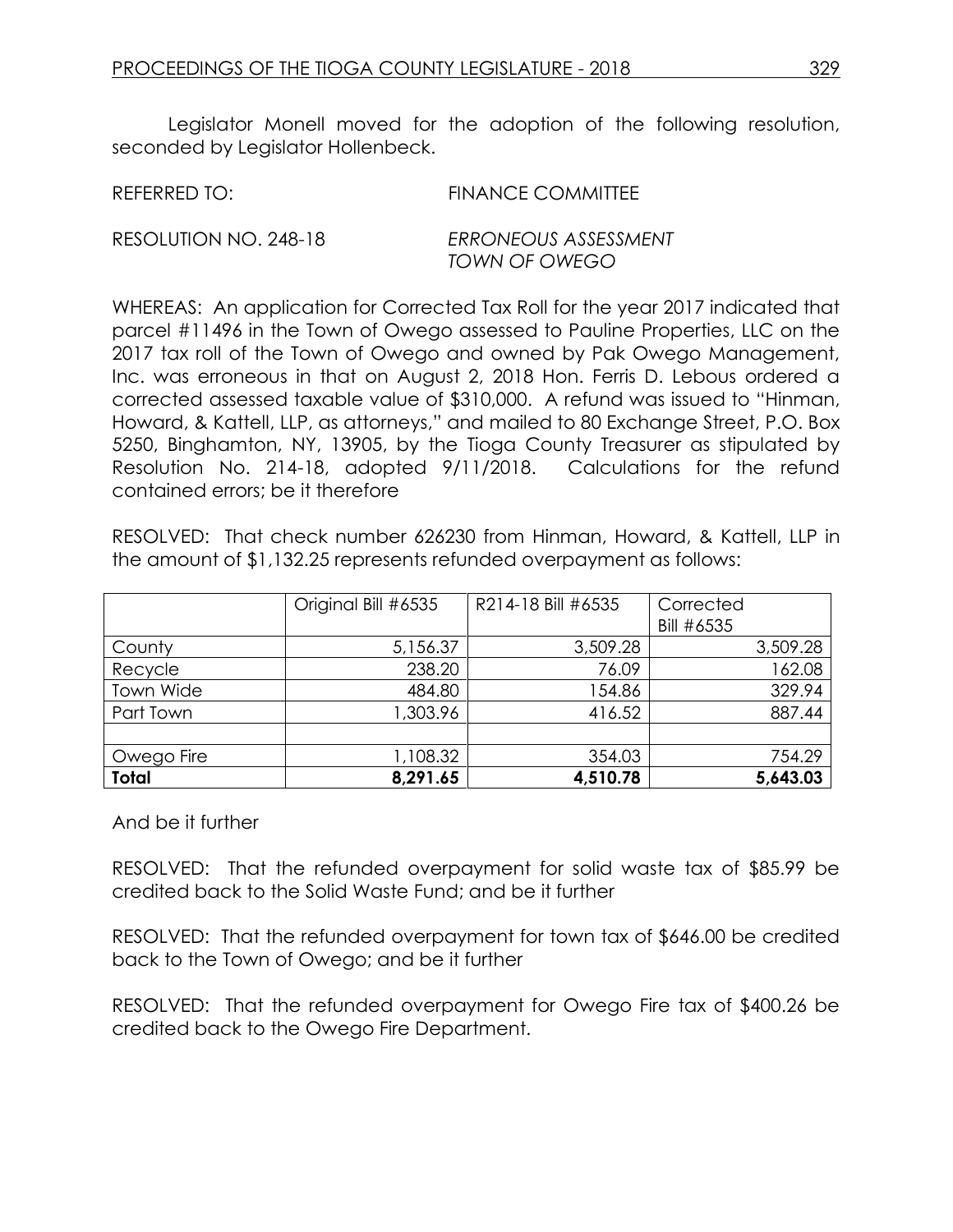Legislator Monell moved for the adoption of the following resolution, seconded by Legislator Hollenbeck.

REFERRED TO: FINANCE COMMITTEE

RESOLUTION NO. 248-18 *ERRONEOUS ASSESSMENT*

*TOWN OF OWEGO*

WHEREAS: An application for Corrected Tax Roll for the year 2017 indicated that parcel #11496 in the Town of Owego assessed to Pauline Properties, LLC on the 2017 tax roll of the Town of Owego and owned by Pak Owego Management, Inc. was erroneous in that on August 2, 2018 Hon. Ferris D. Lebous ordered a corrected assessed taxable value of \$310,000. A refund was issued to "Hinman, Howard, & Kattell, LLP, as attorneys," and mailed to 80 Exchange Street, P.O. Box 5250, Binghamton, NY, 13905, by the Tioga County Treasurer as stipulated by Resolution No. 214-18, adopted 9/11/2018. Calculations for the refund contained errors; be it therefore

RESOLVED: That check number 626230 from Hinman, Howard, & Kattell, LLP in the amount of \$1,132.25 represents refunded overpayment as follows:

|                  | Original Bill #6535 | R214-18 Bill #6535 | Corrected  |
|------------------|---------------------|--------------------|------------|
|                  |                     |                    | Bill #6535 |
| County           | 5,156.37            | 3,509.28           | 3,509.28   |
| Recycle          | 238.20              | 76.09              | 162.08     |
| <b>Town Wide</b> | 484.80              | 154.86             | 329.94     |
| Part Town        | 1,303.96            | 416.52             | 887.44     |
|                  |                     |                    |            |
| Owego Fire       | 1,108.32            | 354.03             | 754.29     |
| <b>Total</b>     | 8,291.65            | 4,510.78           | 5,643.03   |

And be it further

RESOLVED: That the refunded overpayment for solid waste tax of \$85.99 be credited back to the Solid Waste Fund; and be it further

RESOLVED: That the refunded overpayment for town tax of \$646.00 be credited back to the Town of Owego; and be it further

RESOLVED: That the refunded overpayment for Owego Fire tax of \$400.26 be credited back to the Owego Fire Department.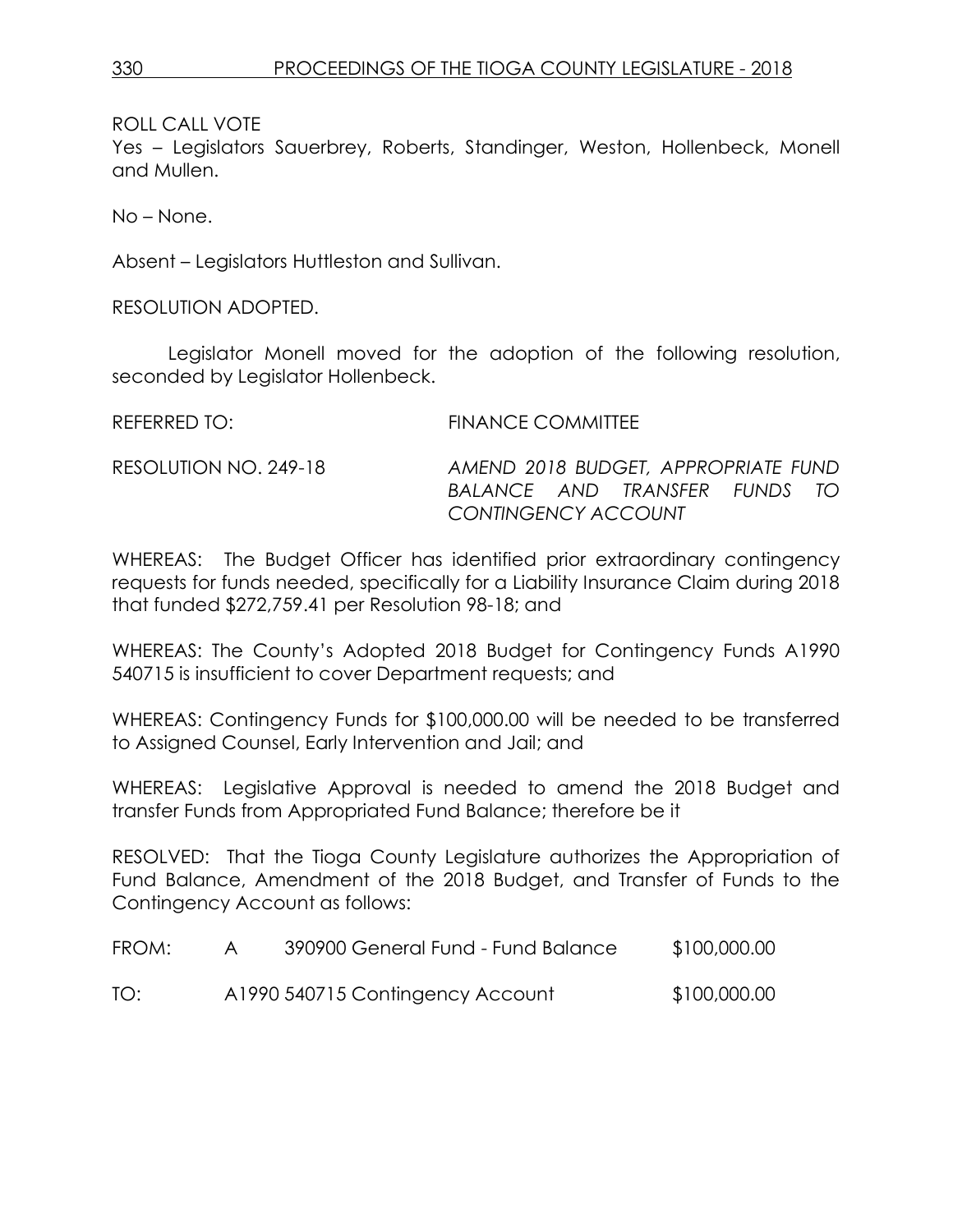ROLL CALL VOTE

Yes – Legislators Sauerbrey, Roberts, Standinger, Weston, Hollenbeck, Monell and Mullen.

No – None.

Absent – Legislators Huttleston and Sullivan.

RESOLUTION ADOPTED.

Legislator Monell moved for the adoption of the following resolution, seconded by Legislator Hollenbeck.

REFERRED TO: FINANCE COMMITTEE RESOLUTION NO. 249-18 *AMEND 2018 BUDGET, APPROPRIATE FUND BALANCE AND TRANSFER FUNDS TO CONTINGENCY ACCOUNT*

WHEREAS: The Budget Officer has identified prior extraordinary contingency requests for funds needed, specifically for a Liability Insurance Claim during 2018 that funded \$272,759.41 per Resolution 98-18; and

WHEREAS: The County's Adopted 2018 Budget for Contingency Funds A1990 540715 is insufficient to cover Department requests; and

WHEREAS: Contingency Funds for \$100,000.00 will be needed to be transferred to Assigned Counsel, Early Intervention and Jail; and

WHEREAS: Legislative Approval is needed to amend the 2018 Budget and transfer Funds from Appropriated Fund Balance; therefore be it

RESOLVED: That the Tioga County Legislature authorizes the Appropriation of Fund Balance, Amendment of the 2018 Budget, and Transfer of Funds to the Contingency Account as follows:

| FROM: | 390900 General Fund - Fund Balance | \$100,000.00 |
|-------|------------------------------------|--------------|
| TO:   | A1990 540715 Contingency Account   | \$100,000.00 |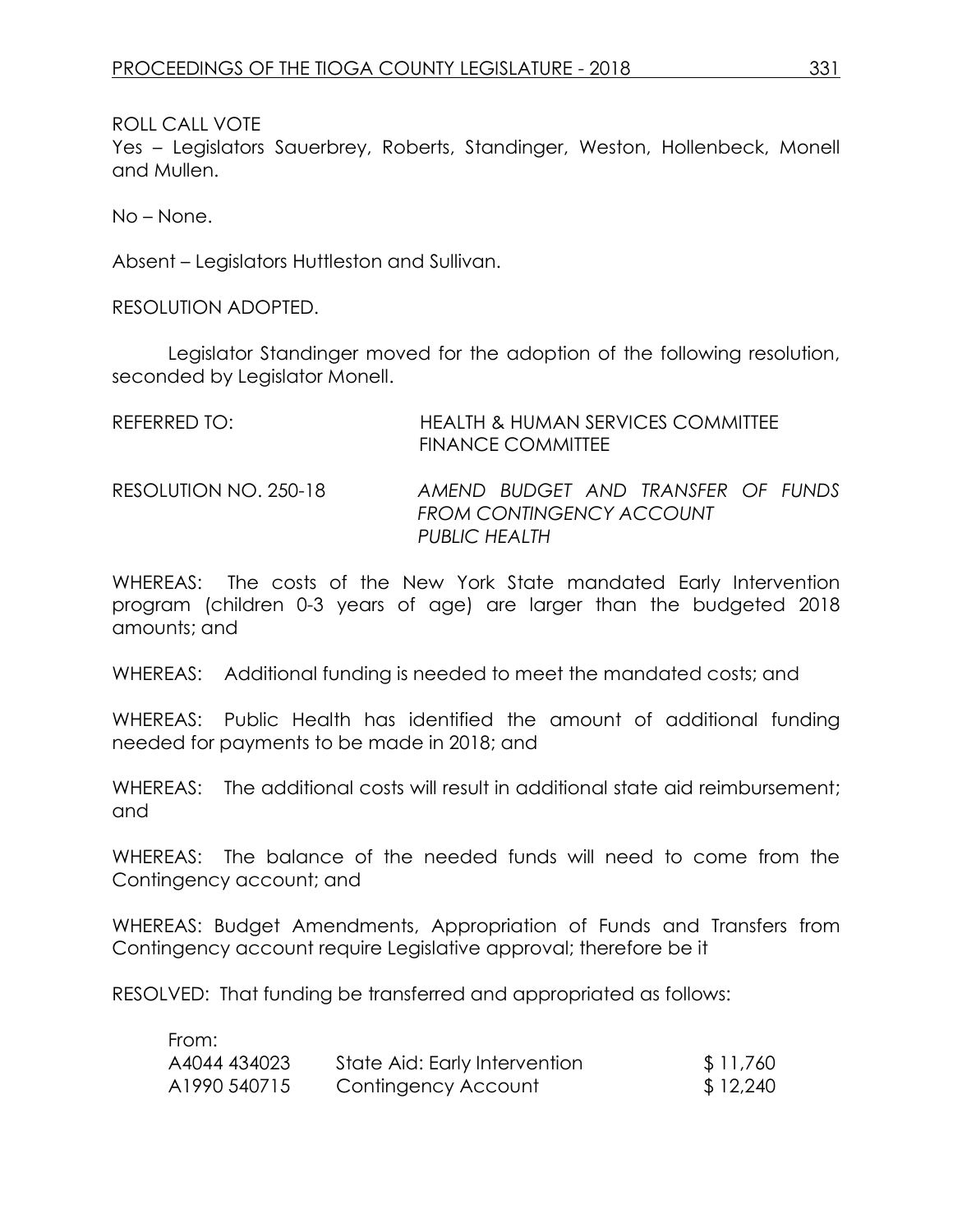ROLL CALL VOTE

Yes – Legislators Sauerbrey, Roberts, Standinger, Weston, Hollenbeck, Monell and Mullen.

No – None.

Absent – Legislators Huttleston and Sullivan.

RESOLUTION ADOPTED.

Legislator Standinger moved for the adoption of the following resolution, seconded by Legislator Monell.

| REFERRED TO:          | HEALTH & HUMAN SERVICES COMMITTEE<br><b>FINANCE COMMITTEE</b>                   |
|-----------------------|---------------------------------------------------------------------------------|
| RESOLUTION NO. 250-18 | AMEND BUDGET AND TRANSFER OF FUNDS<br>FROM CONTINGENCY ACCOUNT<br>PUBLIC HEALTH |

WHEREAS: The costs of the New York State mandated Early Intervention program (children 0-3 years of age) are larger than the budgeted 2018 amounts; and

WHEREAS: Additional funding is needed to meet the mandated costs; and

WHEREAS: Public Health has identified the amount of additional funding needed for payments to be made in 2018; and

WHEREAS: The additional costs will result in additional state aid reimbursement: and

WHEREAS: The balance of the needed funds will need to come from the Contingency account; and

WHEREAS: Budget Amendments, Appropriation of Funds and Transfers from Contingency account require Legislative approval; therefore be it

RESOLVED: That funding be transferred and appropriated as follows:

| From:        |                               |          |
|--------------|-------------------------------|----------|
| A4044 434023 | State Aid: Early Intervention | \$11,760 |
| A1990 540715 | Contingency Account           | \$12,240 |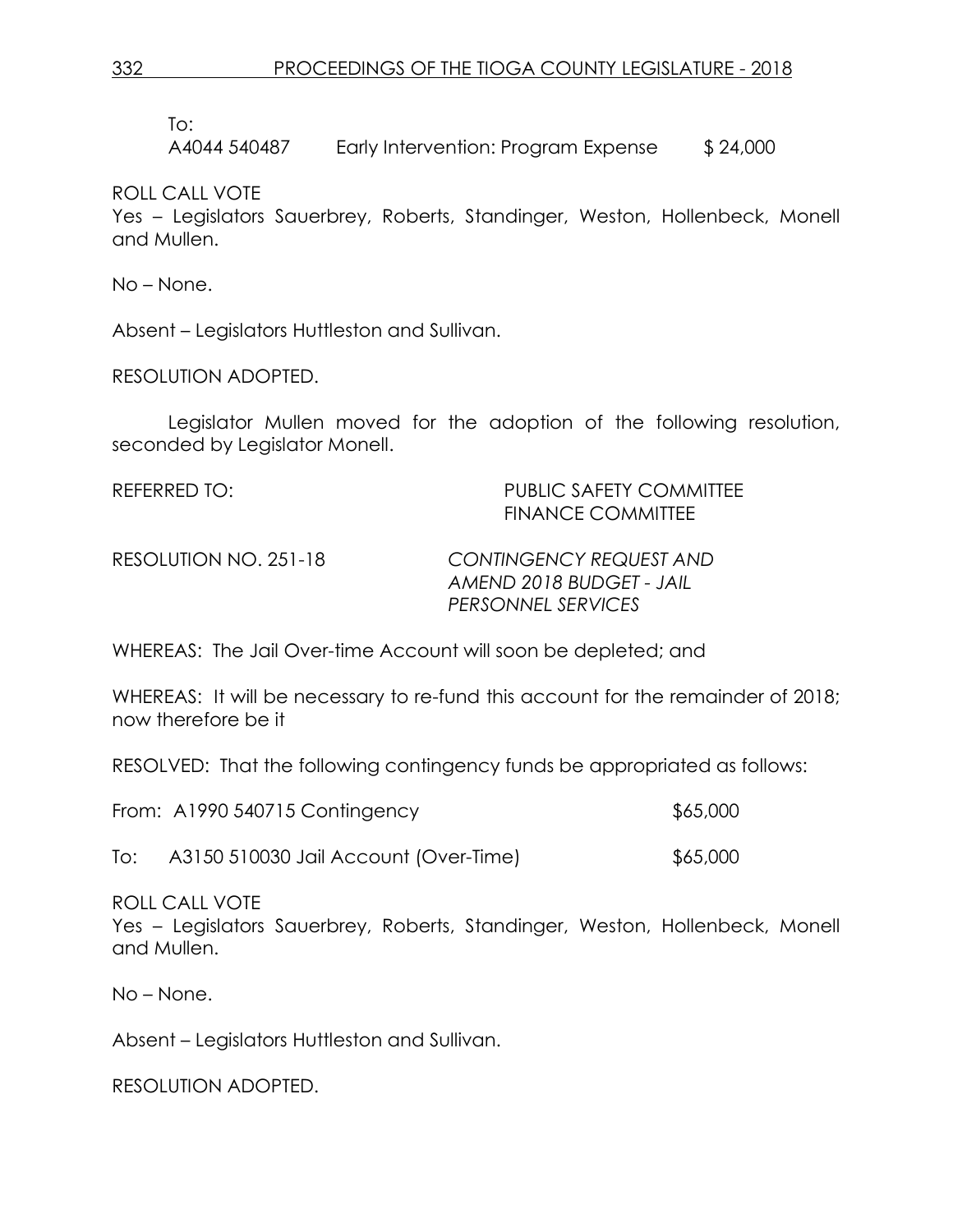To:

A4044 540487 Early Intervention: Program Expense \$ 24,000

ROLL CALL VOTE

Yes – Legislators Sauerbrey, Roberts, Standinger, Weston, Hollenbeck, Monell and Mullen.

No – None.

Absent – Legislators Huttleston and Sullivan.

RESOLUTION ADOPTED.

Legislator Mullen moved for the adoption of the following resolution, seconded by Legislator Monell.

| REFERRED TO:          | <b>PUBLIC SAFETY COMMITTEE</b><br><b>FINANCE COMMITTEE</b> |
|-----------------------|------------------------------------------------------------|
| RESOLUTION NO. 251-18 | <b>CONTINGENCY REQUEST AND</b>                             |
|                       | AMEND 2018 BUDGET - JAIL<br>PERSONNEL SERVICES             |

WHEREAS: The Jail Over-time Account will soon be depleted; and

WHEREAS: It will be necessary to re-fund this account for the remainder of 2018; now therefore be it

RESOLVED: That the following contingency funds be appropriated as follows:

| \$65,000 |
|----------|
|          |

To: A3150 510030 Jail Account (Over-Time) \$65,000

ROLL CALL VOTE

Yes – Legislators Sauerbrey, Roberts, Standinger, Weston, Hollenbeck, Monell and Mullen.

No – None.

Absent – Legislators Huttleston and Sullivan.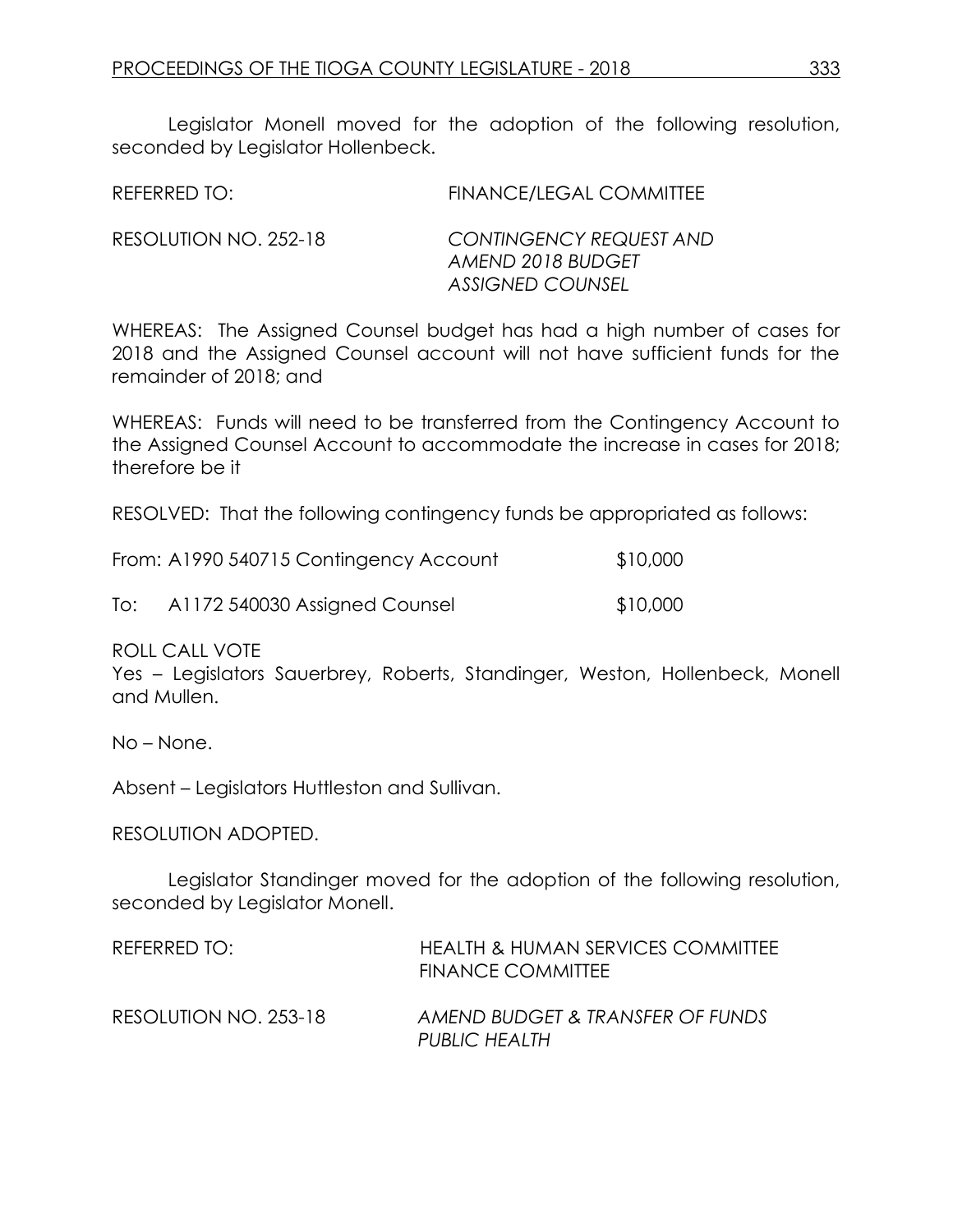Legislator Monell moved for the adoption of the following resolution, seconded by Legislator Hollenbeck.

| REFERRED TO:          | <b>FINANCE/LEGAL COMMITTEE</b>                                          |
|-----------------------|-------------------------------------------------------------------------|
| RESOLUTION NO. 252-18 | CONTINGENCY REQUEST AND<br>AMEND 2018 BUDGET<br><b>ASSIGNED COUNSEL</b> |

WHEREAS: The Assigned Counsel budget has had a high number of cases for 2018 and the Assigned Counsel account will not have sufficient funds for the remainder of 2018; and

WHEREAS: Funds will need to be transferred from the Contingency Account to the Assigned Counsel Account to accommodate the increase in cases for 2018; therefore be it

RESOLVED: That the following contingency funds be appropriated as follows:

|     | From: A1990 540715 Contingency Account | \$10,000 |
|-----|----------------------------------------|----------|
| To: | A1172 540030 Assigned Counsel          | \$10,000 |

ROLL CALL VOTE

Yes – Legislators Sauerbrey, Roberts, Standinger, Weston, Hollenbeck, Monell and Mullen.

No – None.

Absent – Legislators Huttleston and Sullivan.

RESOLUTION ADOPTED.

Legislator Standinger moved for the adoption of the following resolution, seconded by Legislator Monell.

| REFERRED TO:          | <b>HEALTH &amp; HUMAN SERVICES COMMITTEE</b><br><b>FINANCE COMMITTEE</b> |
|-----------------------|--------------------------------------------------------------------------|
| RESOLUTION NO. 253-18 | AMEND BUDGET & TRANSFER OF FUNDS<br>PUBLIC HEALTH                        |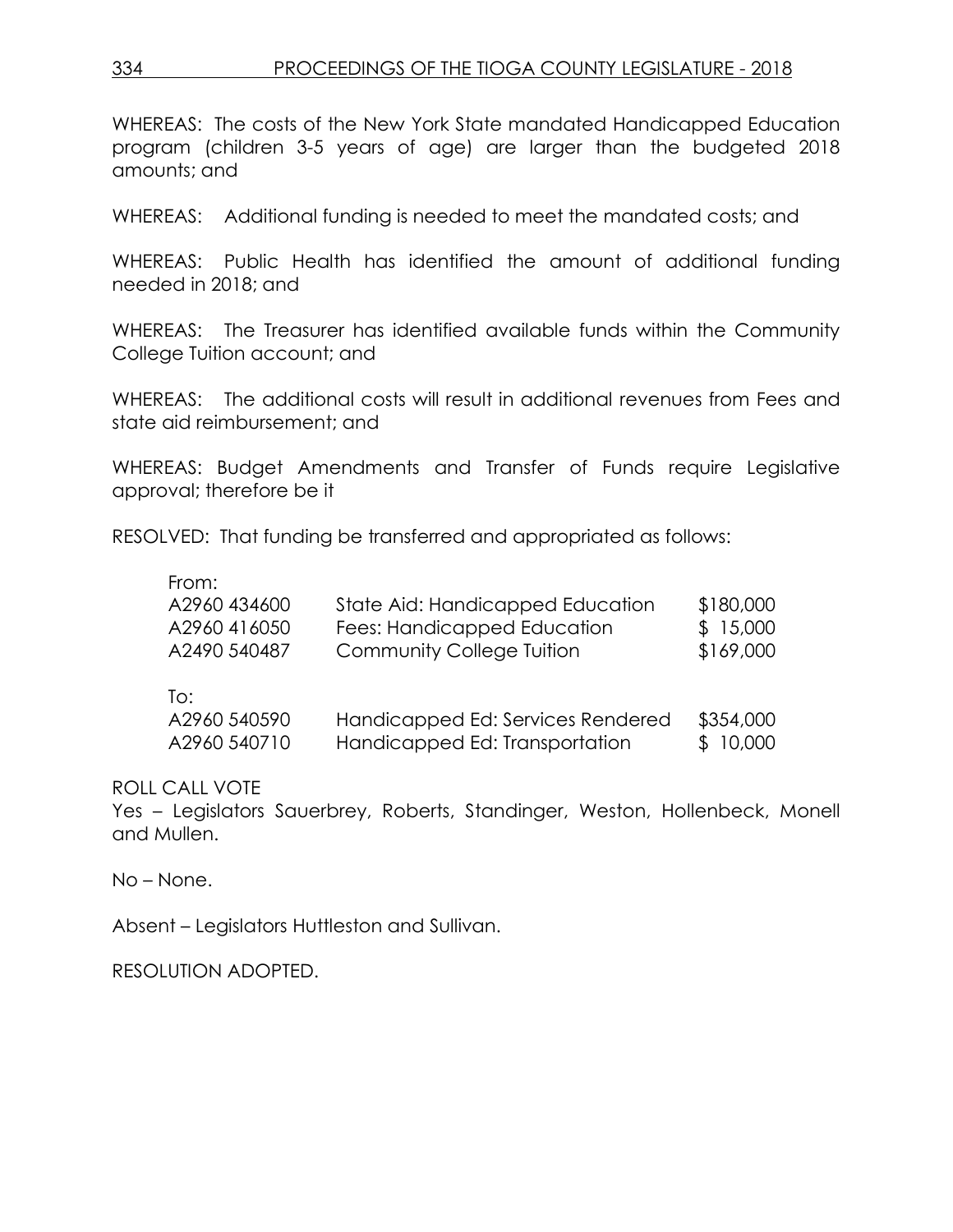WHEREAS: The costs of the New York State mandated Handicapped Education program (children 3-5 years of age) are larger than the budgeted 2018 amounts; and

WHEREAS: Additional funding is needed to meet the mandated costs; and

WHEREAS: Public Health has identified the amount of additional funding needed in 2018; and

WHEREAS: The Treasurer has identified available funds within the Community College Tuition account; and

WHEREAS: The additional costs will result in additional revenues from Fees and state aid reimbursement; and

WHEREAS: Budget Amendments and Transfer of Funds require Legislative approval; therefore be it

RESOLVED: That funding be transferred and appropriated as follows:

| From:        |                                   |           |
|--------------|-----------------------------------|-----------|
| A2960 434600 | State Aid: Handicapped Education  | \$180,000 |
| A2960416050  | Fees: Handicapped Education       | \$15,000  |
| A2490 540487 | <b>Community College Tuition</b>  | \$169,000 |
| To:          |                                   |           |
| A2960 540590 | Handicapped Ed: Services Rendered | \$354,000 |

A2960 540710 Handicapped Ed: Transportation \$ 10,000

ROLL CALL VOTE

Yes – Legislators Sauerbrey, Roberts, Standinger, Weston, Hollenbeck, Monell and Mullen.

No – None.

Absent – Legislators Huttleston and Sullivan.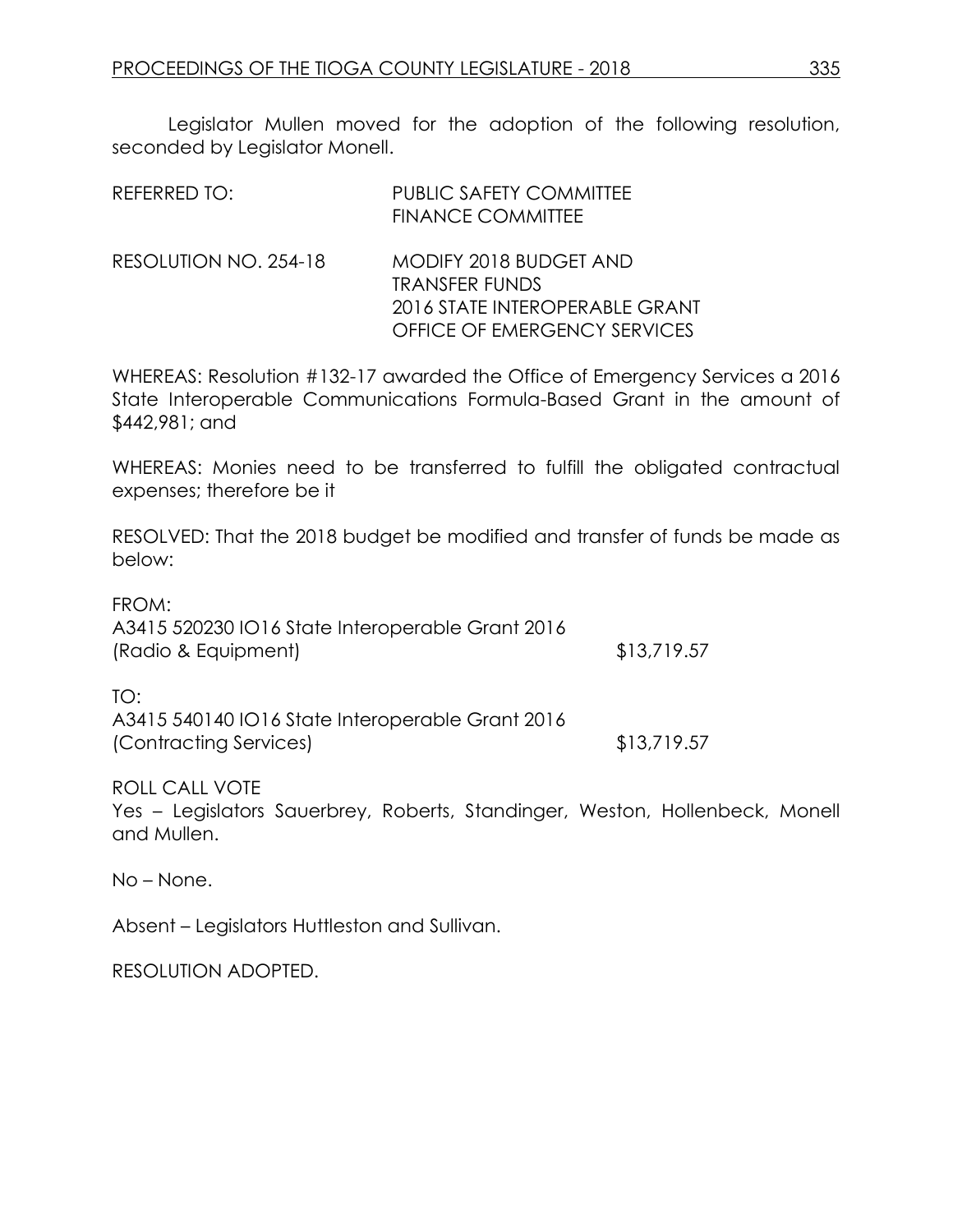Legislator Mullen moved for the adoption of the following resolution, seconded by Legislator Monell.

| REFERRED TO:          | <b>PUBLIC SAFETY COMMITTEE</b><br><b>FINANCE COMMITTEE</b>                                                        |
|-----------------------|-------------------------------------------------------------------------------------------------------------------|
| RESOLUTION NO. 254-18 | MODIFY 2018 BUDGET AND<br><b>TRANSFER FUNDS</b><br>2016 STATE INTEROPERABLE GRANT<br>OFFICE OF EMERGENCY SERVICES |

WHEREAS: Resolution #132-17 awarded the Office of Emergency Services a 2016 State Interoperable Communications Formula-Based Grant in the amount of \$442,981; and

WHEREAS: Monies need to be transferred to fulfill the obligated contractual expenses; therefore be it

RESOLVED: That the 2018 budget be modified and transfer of funds be made as below:

FROM: A3415 520230 IO16 State Interoperable Grant 2016 (Radio & Equipment)  $$13,719.57$ 

TO: A3415 540140 IO16 State Interoperable Grant 2016 (Contracting Services) \$13,719.57

ROLL CALL VOTE

Yes – Legislators Sauerbrey, Roberts, Standinger, Weston, Hollenbeck, Monell and Mullen.

No – None.

Absent – Legislators Huttleston and Sullivan.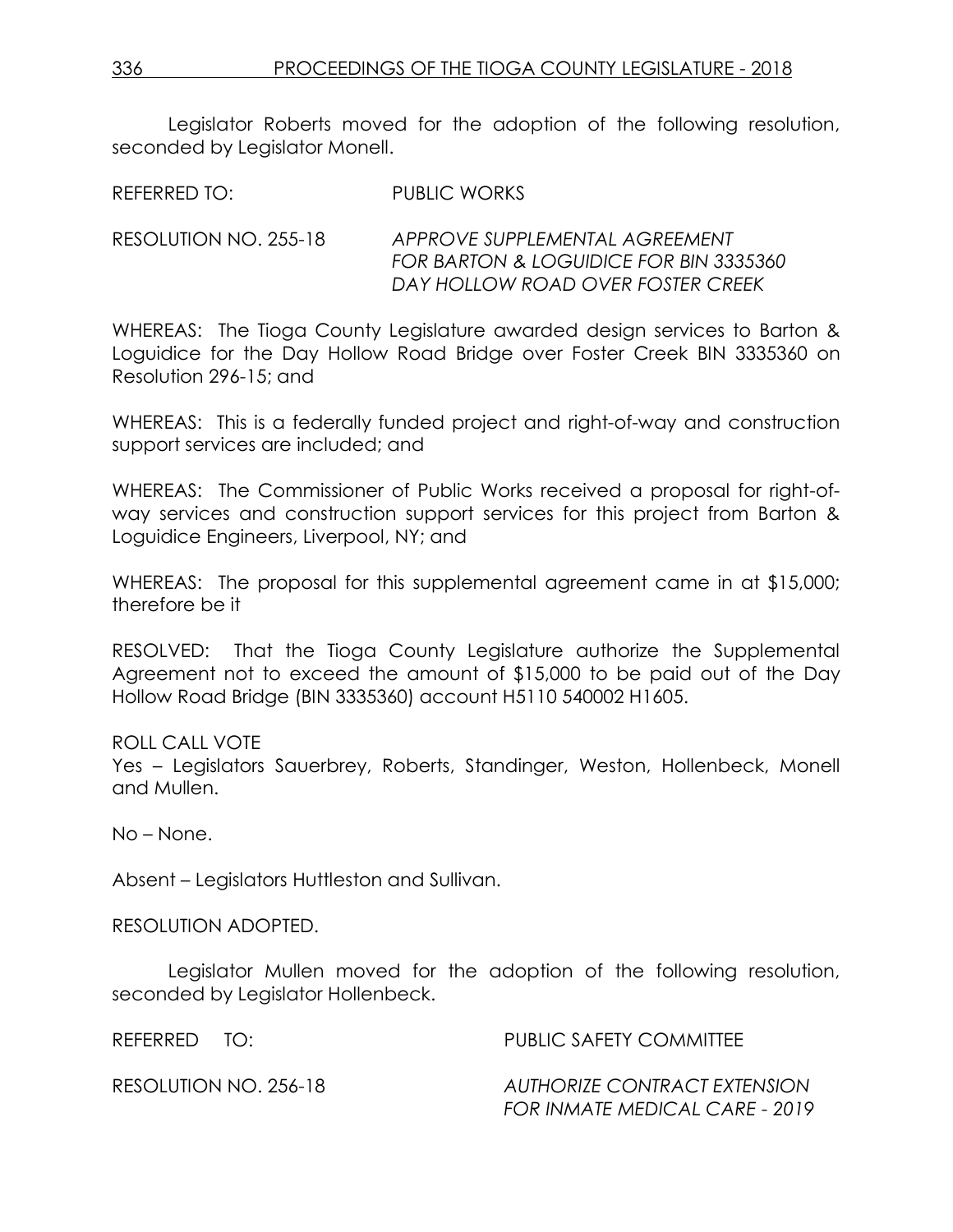Legislator Roberts moved for the adoption of the following resolution, seconded by Legislator Monell.

REFERRED TO: PUBLIC WORKS

RESOLUTION NO. 255-18 *APPROVE SUPPLEMENTAL AGREEMENT FOR BARTON & LOGUIDICE FOR BIN 3335360 DAY HOLLOW ROAD OVER FOSTER CREEK*

WHEREAS: The Tioga County Legislature awarded design services to Barton & Loguidice for the Day Hollow Road Bridge over Foster Creek BIN 3335360 on Resolution 296-15; and

WHEREAS: This is a federally funded project and right-of-way and construction support services are included; and

WHEREAS: The Commissioner of Public Works received a proposal for right-ofway services and construction support services for this project from Barton & Loguidice Engineers, Liverpool, NY; and

WHEREAS: The proposal for this supplemental agreement came in at \$15,000; therefore be it

RESOLVED: That the Tioga County Legislature authorize the Supplemental Agreement not to exceed the amount of \$15,000 to be paid out of the Day Hollow Road Bridge (BIN 3335360) account H5110 540002 H1605.

ROLL CALL VOTE

Yes – Legislators Sauerbrey, Roberts, Standinger, Weston, Hollenbeck, Monell and Mullen.

No – None.

Absent – Legislators Huttleston and Sullivan.

## RESOLUTION ADOPTED.

Legislator Mullen moved for the adoption of the following resolution, seconded by Legislator Hollenbeck.

| REFERRED TO: |                       | PUBLIC SAFETY COMMITTEE                                        |
|--------------|-----------------------|----------------------------------------------------------------|
|              | RESOLUTION NO. 256-18 | AUTHORIZE CONTRACT EXTENSION<br>FOR INMATE MEDICAL CARE - 2019 |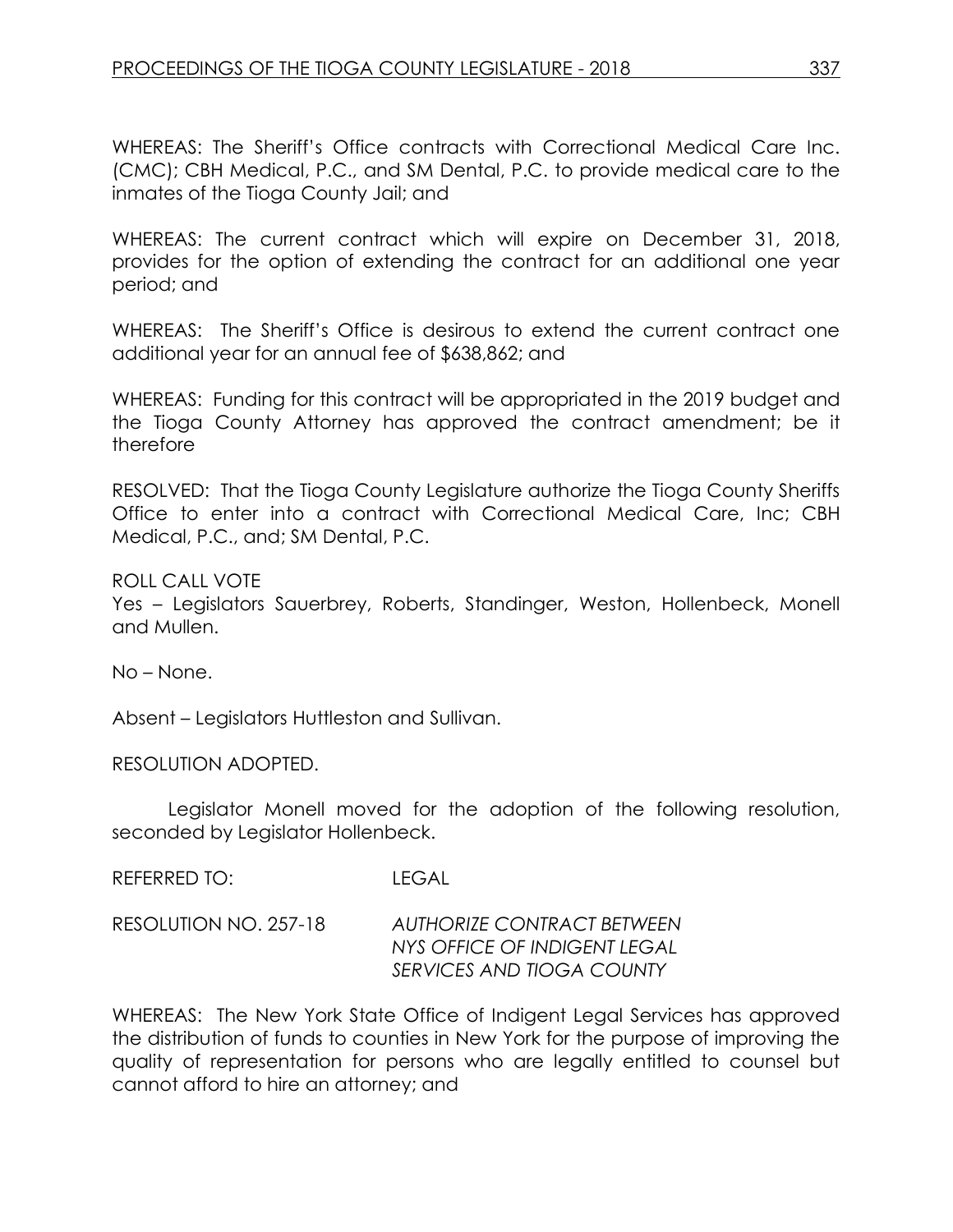WHEREAS: The Sheriff's Office contracts with Correctional Medical Care Inc. (CMC); CBH Medical, P.C., and SM Dental, P.C. to provide medical care to the inmates of the Tioga County Jail; and

WHEREAS: The current contract which will expire on December 31, 2018, provides for the option of extending the contract for an additional one year period; and

WHEREAS: The Sheriff's Office is desirous to extend the current contract one additional year for an annual fee of \$638,862; and

WHEREAS: Funding for this contract will be appropriated in the 2019 budget and the Tioga County Attorney has approved the contract amendment; be it therefore

RESOLVED: That the Tioga County Legislature authorize the Tioga County Sheriffs Office to enter into a contract with Correctional Medical Care, Inc; CBH Medical, P.C., and; SM Dental, P.C.

ROLL CALL VOTE

Yes – Legislators Sauerbrey, Roberts, Standinger, Weston, Hollenbeck, Monell and Mullen.

No – None.

Absent – Legislators Huttleston and Sullivan.

RESOLUTION ADOPTED.

Legislator Monell moved for the adoption of the following resolution, seconded by Legislator Hollenbeck.

REFERRED TO: LEGAL

RESOLUTION NO. 257-18 *AUTHORIZE CONTRACT BETWEEN NYS OFFICE OF INDIGENT LEGAL SERVICES AND TIOGA COUNTY* 

WHEREAS: The New York State Office of Indigent Legal Services has approved the distribution of funds to counties in New York for the purpose of improving the quality of representation for persons who are legally entitled to counsel but cannot afford to hire an attorney; and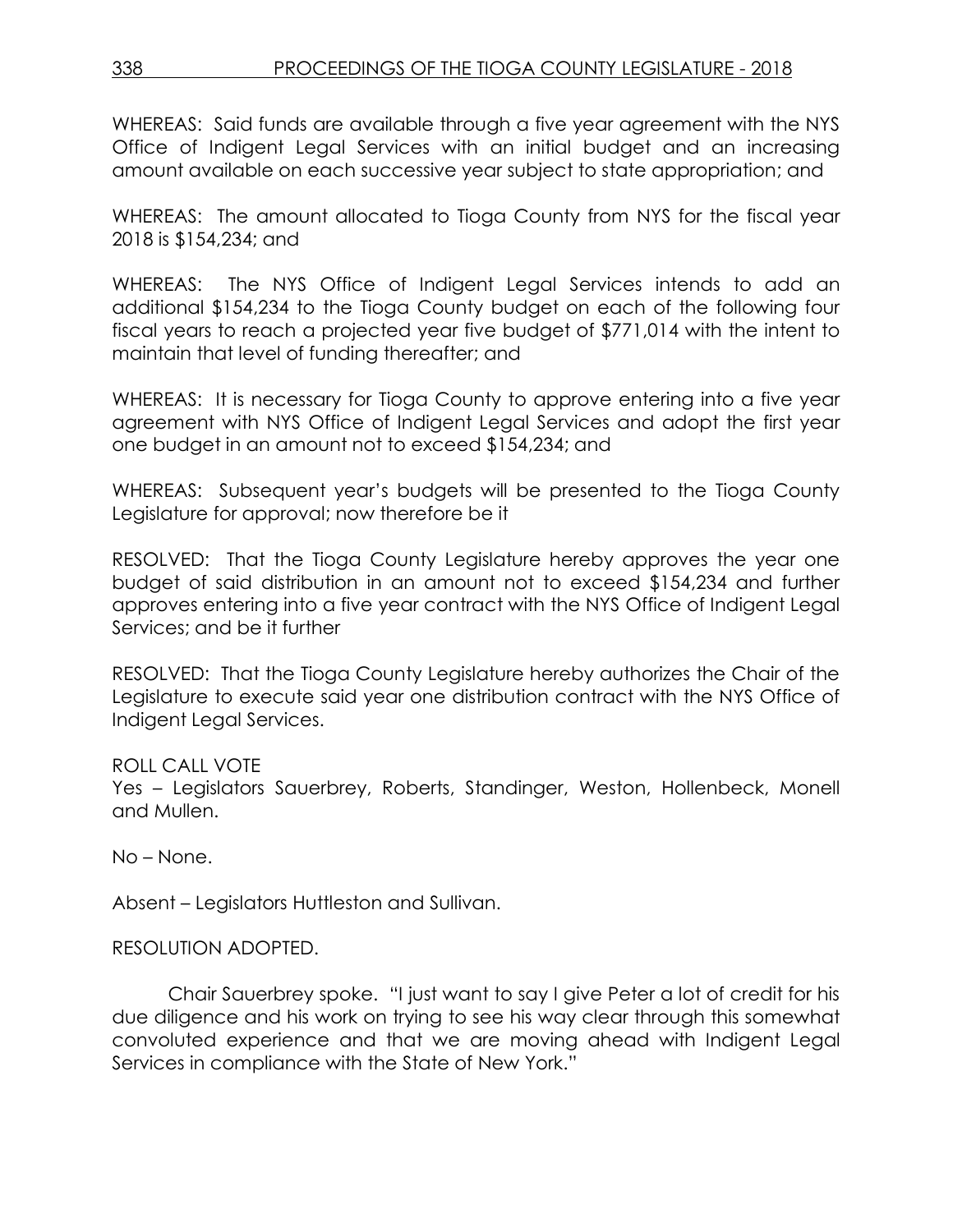WHEREAS: Said funds are available through a five year agreement with the NYS Office of Indigent Legal Services with an initial budget and an increasing amount available on each successive year subject to state appropriation; and

WHEREAS: The amount allocated to Tioga County from NYS for the fiscal year 2018 is \$154,234; and

WHEREAS: The NYS Office of Indigent Legal Services intends to add an additional \$154,234 to the Tioga County budget on each of the following four fiscal years to reach a projected year five budget of \$771,014 with the intent to maintain that level of funding thereafter; and

WHEREAS: It is necessary for Tioga County to approve entering into a five year agreement with NYS Office of Indigent Legal Services and adopt the first year one budget in an amount not to exceed \$154,234; and

WHEREAS: Subsequent year's budgets will be presented to the Tioga County Legislature for approval; now therefore be it

RESOLVED: That the Tioga County Legislature hereby approves the year one budget of said distribution in an amount not to exceed \$154,234 and further approves entering into a five year contract with the NYS Office of Indigent Legal Services; and be it further

RESOLVED: That the Tioga County Legislature hereby authorizes the Chair of the Legislature to execute said year one distribution contract with the NYS Office of Indigent Legal Services.

# ROLL CALL VOTE

Yes – Legislators Sauerbrey, Roberts, Standinger, Weston, Hollenbeck, Monell and Mullen.

No – None.

Absent – Legislators Huttleston and Sullivan.

# RESOLUTION ADOPTED.

Chair Sauerbrey spoke. "I just want to say I give Peter a lot of credit for his due diligence and his work on trying to see his way clear through this somewhat convoluted experience and that we are moving ahead with Indigent Legal Services in compliance with the State of New York."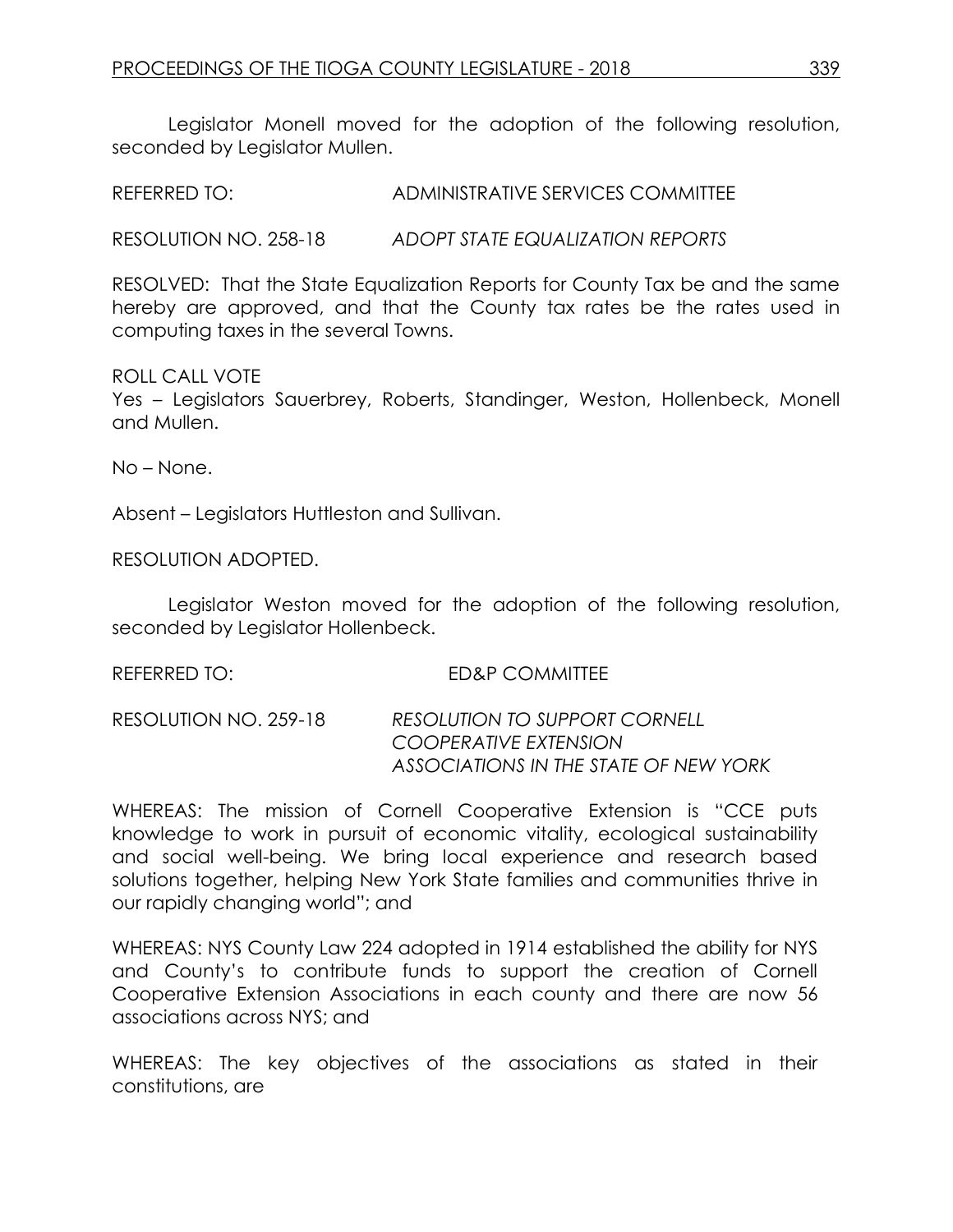Legislator Monell moved for the adoption of the following resolution, seconded by Leaislator Mullen.

REFERRED TO: ADMINISTRATIVE SERVICES COMMITTEE

RESOLUTION NO. 258-18 *ADOPT STATE EQUALIZATION REPORTS*

RESOLVED: That the State Equalization Reports for County Tax be and the same hereby are approved, and that the County tax rates be the rates used in computing taxes in the several Towns.

## ROLL CALL VOTE

Yes – Legislators Sauerbrey, Roberts, Standinger, Weston, Hollenbeck, Monell and Mullen.

No – None.

Absent – Legislators Huttleston and Sullivan.

RESOLUTION ADOPTED.

Legislator Weston moved for the adoption of the following resolution, seconded by Legislator Hollenbeck.

REFERRED TO: ED&P COMMITTEE

RESOLUTION NO. 259-18 *RESOLUTION TO SUPPORT CORNELL COOPERATIVE EXTENSION ASSOCIATIONS IN THE STATE OF NEW YORK*

WHEREAS: The mission of Cornell Cooperative Extension is "CCE puts knowledge to work in pursuit of economic vitality, ecological sustainability and social well-being. We bring local experience and research based solutions together, helping New York State families and communities thrive in our rapidly changing world"; and

WHEREAS: NYS County Law 224 adopted in 1914 established the ability for NYS and County's to contribute funds to support the creation of Cornell Cooperative Extension Associations in each county and there are now 56 associations across NYS; and

WHEREAS: The key objectives of the associations as stated in their constitutions, are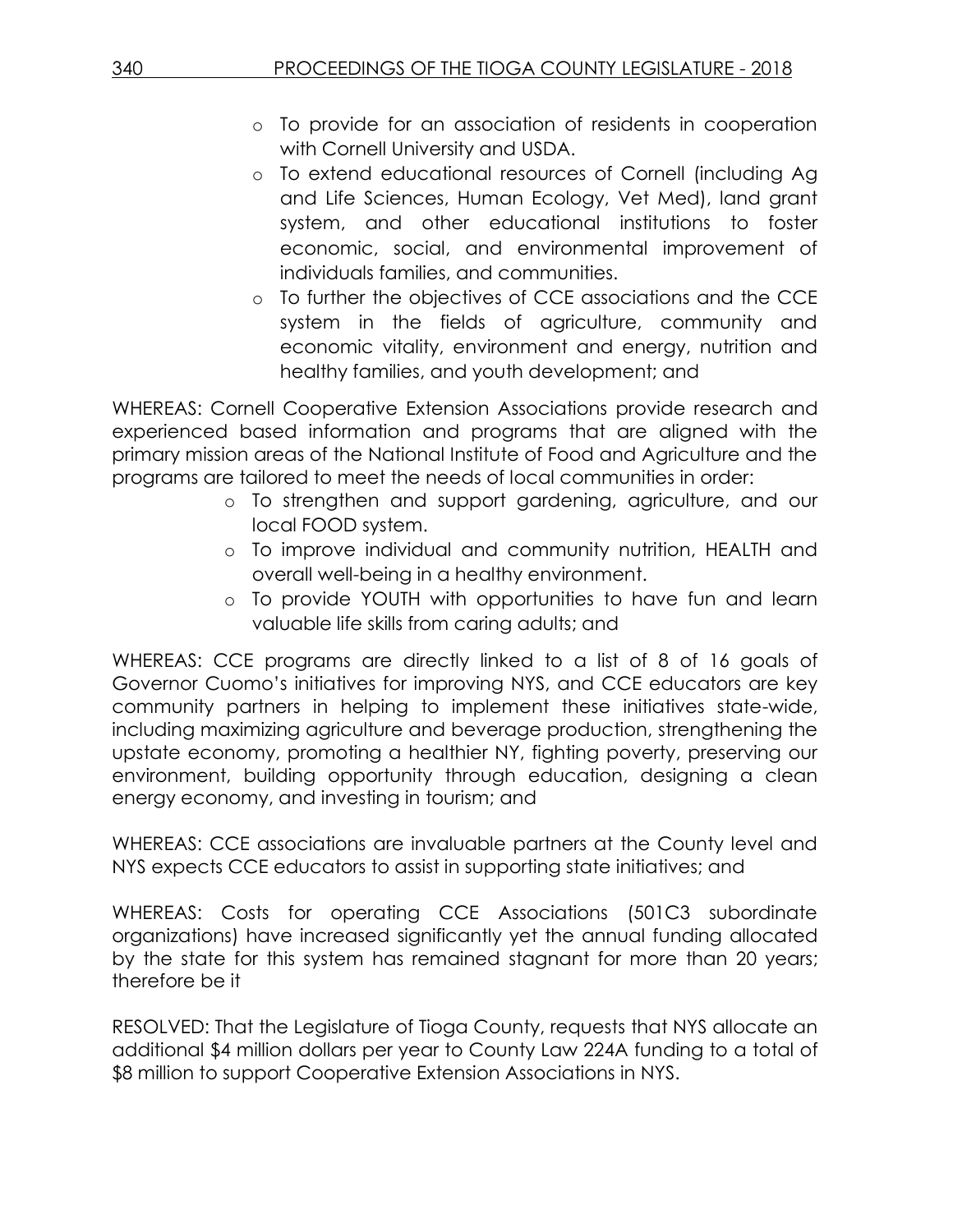- o To provide for an association of residents in cooperation with Cornell University and USDA.
- o To extend educational resources of Cornell (including Ag and Life Sciences, Human Ecology, Vet Med), land grant system, and other educational institutions to foster economic, social, and environmental improvement of individuals families, and communities.
- o To further the objectives of CCE associations and the CCE system in the fields of agriculture, community and economic vitality, environment and energy, nutrition and healthy families, and youth development; and

WHEREAS: Cornell Cooperative Extension Associations provide research and experienced based information and programs that are aligned with the primary mission areas of the National Institute of Food and Agriculture and the programs are tailored to meet the needs of local communities in order:

- o To strengthen and support gardening, agriculture, and our local FOOD system.
- o To improve individual and community nutrition, HEALTH and overall well-being in a healthy environment.
- o To provide YOUTH with opportunities to have fun and learn valuable life skills from caring adults; and

WHEREAS: CCE programs are directly linked to a list of 8 of 16 goals of Governor Cuomo's initiatives for improving NYS, and CCE educators are key community partners in helping to implement these initiatives state-wide, including maximizing agriculture and beverage production, strengthening the upstate economy, promoting a healthier NY, fighting poverty, preserving our environment, building opportunity through education, designing a clean energy economy, and investing in tourism; and

WHEREAS: CCE associations are invaluable partners at the County level and NYS expects CCE educators to assist in supporting state initiatives; and

WHEREAS: Costs for operating CCE Associations (501C3 subordinate organizations) have increased significantly yet the annual funding allocated by the state for this system has remained stagnant for more than 20 years; therefore be it

RESOLVED: That the Legislature of Tioga County, requests that NYS allocate an additional \$4 million dollars per year to County Law 224A funding to a total of \$8 million to support Cooperative Extension Associations in NYS.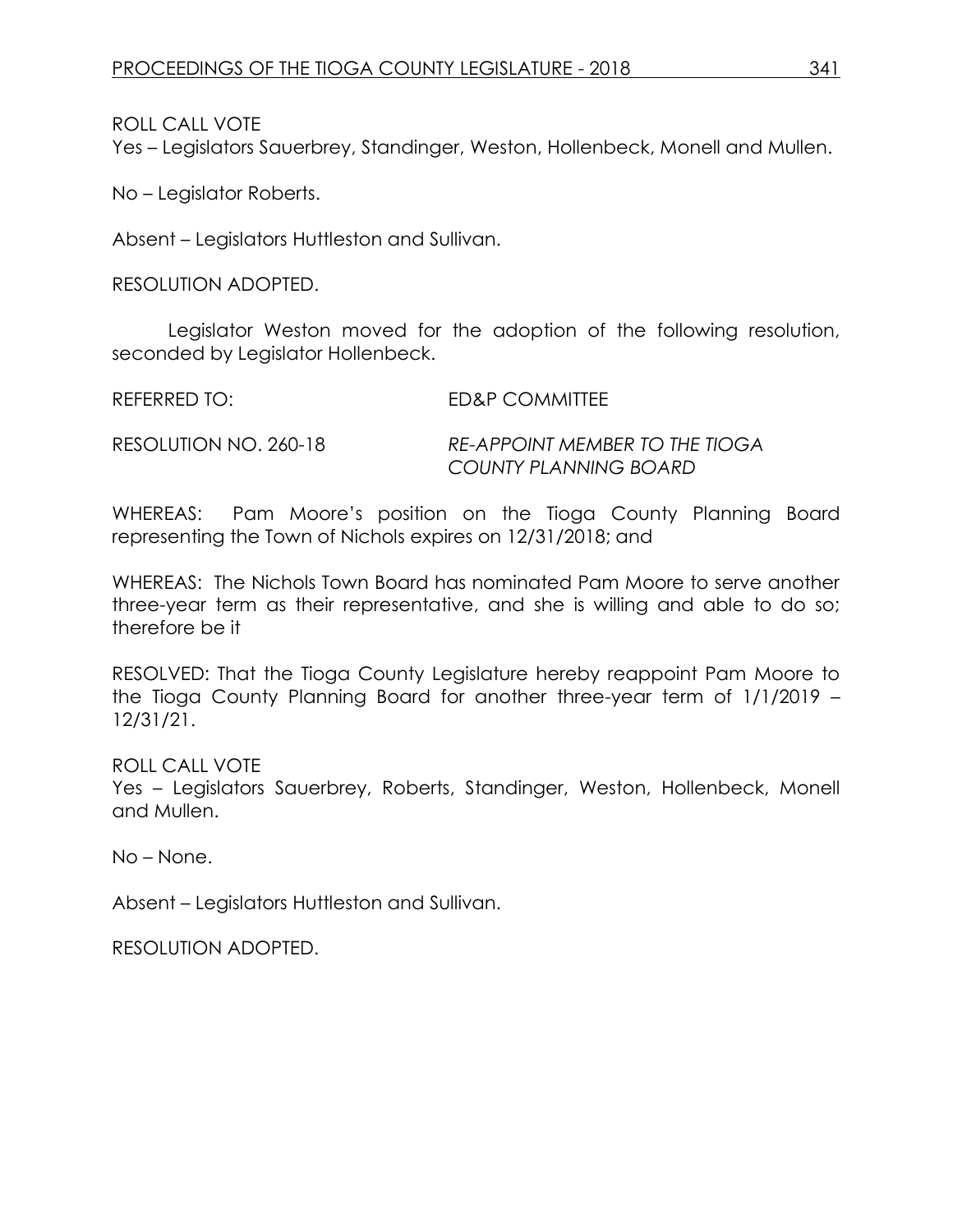ROLL CALL VOTE

Yes – Legislators Sauerbrey, Standinger, Weston, Hollenbeck, Monell and Mullen.

No – Legislator Roberts.

Absent – Legislators Huttleston and Sullivan.

RESOLUTION ADOPTED.

Legislator Weston moved for the adoption of the following resolution, seconded by Legislator Hollenbeck.

REFERRED TO: ED&P COMMITTEE

RESOLUTION NO. 260-18 *RE-APPOINT MEMBER TO THE TIOGA COUNTY PLANNING BOARD*

WHEREAS: Pam Moore's position on the Tioga County Planning Board representing the Town of Nichols expires on 12/31/2018; and

WHEREAS: The Nichols Town Board has nominated Pam Moore to serve another three-year term as their representative, and she is willing and able to do so; therefore be it

RESOLVED: That the Tioga County Legislature hereby reappoint Pam Moore to the Tioga County Planning Board for another three-year term of 1/1/2019 – 12/31/21.

ROLL CALL VOTE

Yes – Legislators Sauerbrey, Roberts, Standinger, Weston, Hollenbeck, Monell and Mullen.

No – None.

Absent – Legislators Huttleston and Sullivan.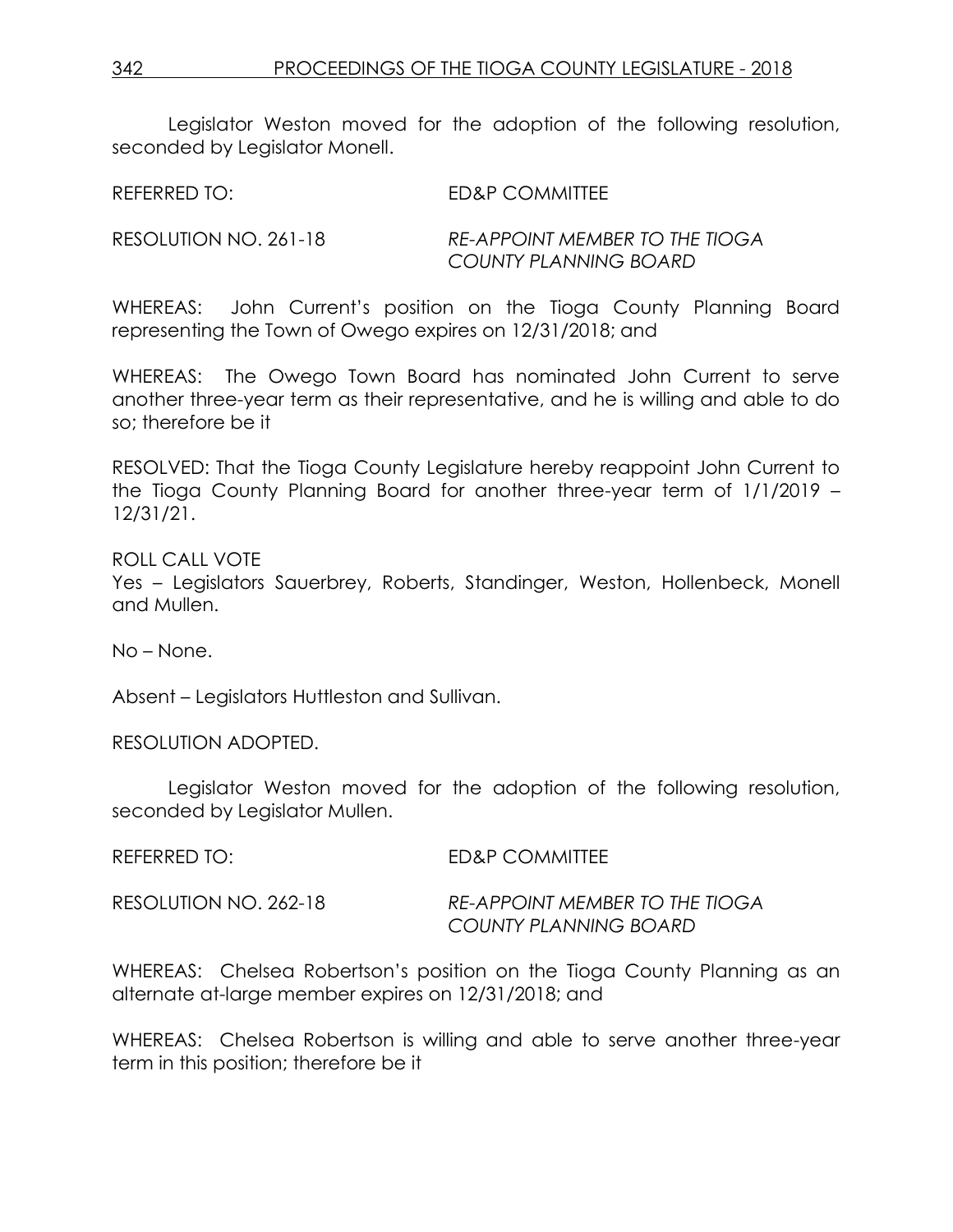Legislator Weston moved for the adoption of the following resolution, seconded by Legislator Monell.

REFERRED TO: ED&P COMMITTEE

RESOLUTION NO. 261-18 *RE-APPOINT MEMBER TO THE TIOGA COUNTY PLANNING BOARD*

WHEREAS: John Current's position on the Tioga County Planning Board representing the Town of Owego expires on 12/31/2018; and

WHEREAS: The Owego Town Board has nominated John Current to serve another three-year term as their representative, and he is willing and able to do so; therefore be it

RESOLVED: That the Tioga County Legislature hereby reappoint John Current to the Tioga County Planning Board for another three-year term of 1/1/2019 – 12/31/21.

ROLL CALL VOTE Yes – Legislators Sauerbrey, Roberts, Standinger, Weston, Hollenbeck, Monell and Mullen.

No – None.

Absent – Legislators Huttleston and Sullivan.

RESOLUTION ADOPTED.

Legislator Weston moved for the adoption of the following resolution, seconded by Legislator Mullen.

| REFERRED TO:          | ED&P COMMITTEE                        |
|-----------------------|---------------------------------------|
| RESOLUTION NO. 262-18 | <b>RE-APPOINT MEMBER TO THE TIOGA</b> |
|                       | COUNTY PLANNING BOARD                 |

WHEREAS: Chelsea Robertson's position on the Tioga County Planning as an alternate at-large member expires on 12/31/2018; and

WHEREAS: Chelsea Robertson is willing and able to serve another three-year term in this position; therefore be it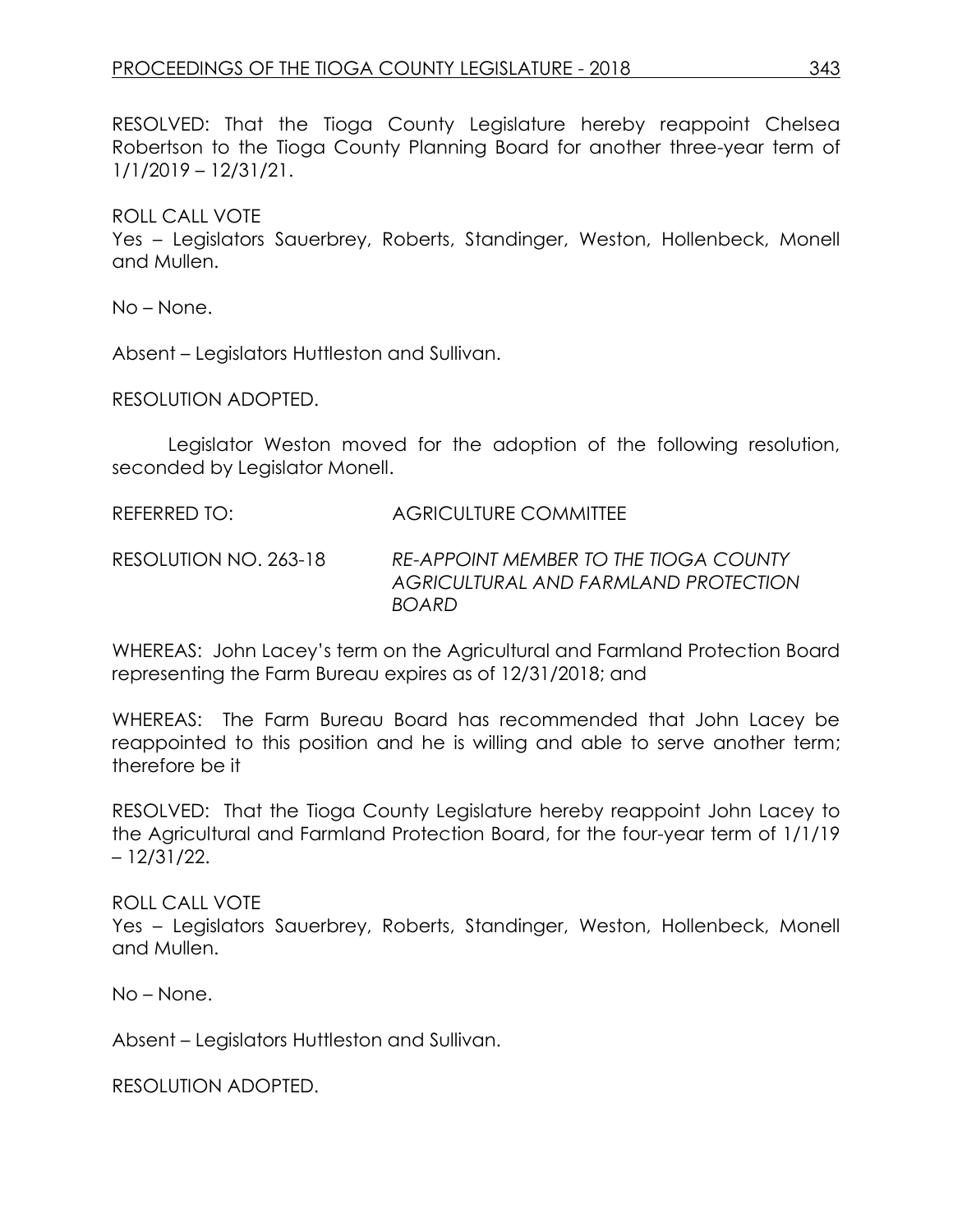RESOLVED: That the Tioga County Legislature hereby reappoint Chelsea Robertson to the Tioga County Planning Board for another three-year term of 1/1/2019 – 12/31/21.

## ROLL CALL VOTE

Yes – Legislators Sauerbrey, Roberts, Standinger, Weston, Hollenbeck, Monell and Mullen.

No – None.

Absent – Legislators Huttleston and Sullivan.

RESOLUTION ADOPTED.

Legislator Weston moved for the adoption of the following resolution, seconded by Legislator Monell.

REFERRED TO: AGRICULTURE COMMITTEE

RESOLUTION NO. 263-18 *RE-APPOINT MEMBER TO THE TIOGA COUNTY AGRICULTURAL AND FARMLAND PROTECTION BOARD*

WHEREAS: John Lacey's term on the Agricultural and Farmland Protection Board representing the Farm Bureau expires as of 12/31/2018; and

WHEREAS: The Farm Bureau Board has recommended that John Lacey be reappointed to this position and he is willing and able to serve another term; therefore be it

RESOLVED: That the Tioga County Legislature hereby reappoint John Lacey to the Agricultural and Farmland Protection Board, for the four-year term of 1/1/19 – 12/31/22.

ROLL CALL VOTE

Yes – Legislators Sauerbrey, Roberts, Standinger, Weston, Hollenbeck, Monell and Mullen.

No – None.

Absent – Legislators Huttleston and Sullivan.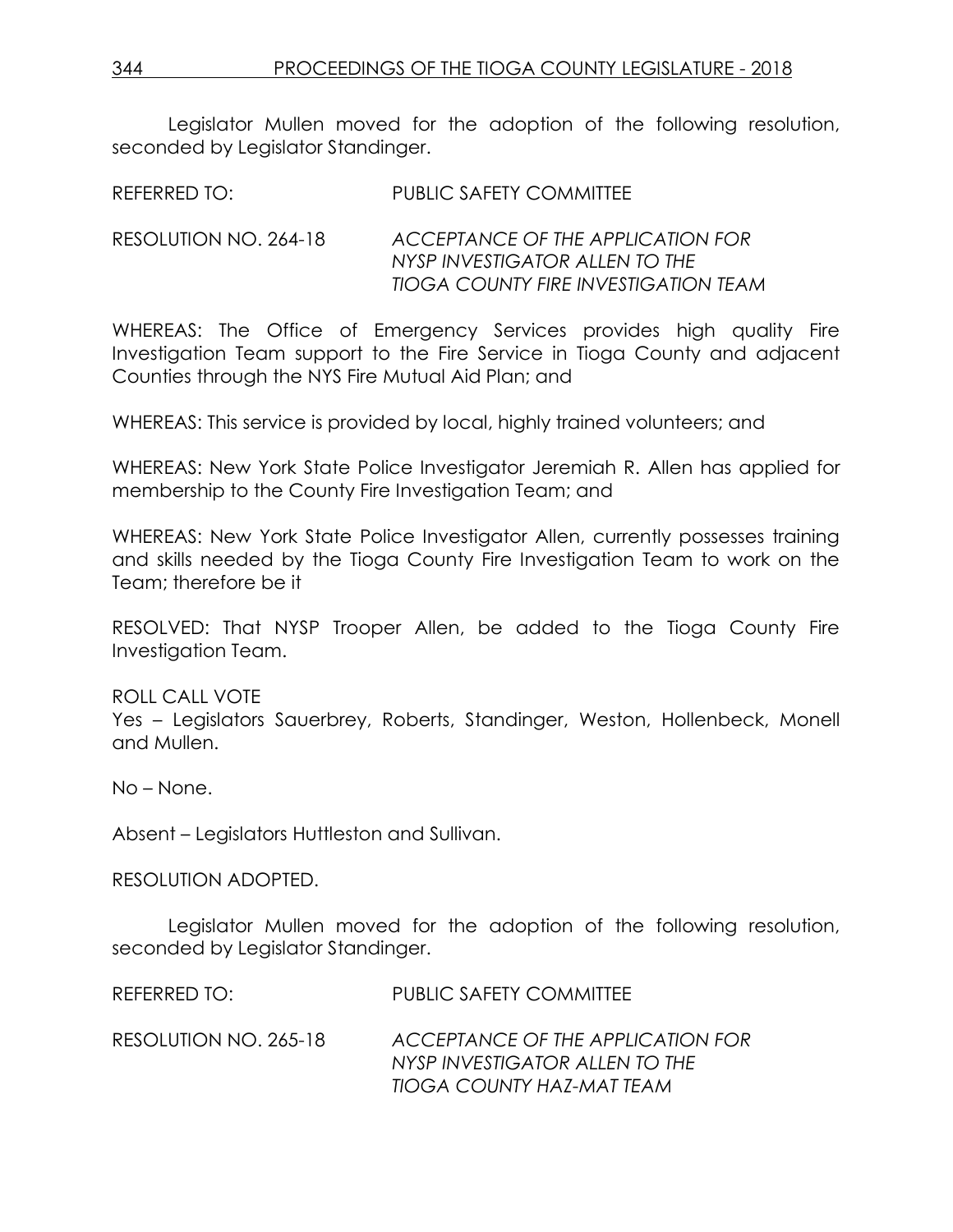Legislator Mullen moved for the adoption of the following resolution, seconded by Legislator Standinger.

REFERRED TO: PUBLIC SAFETY COMMITTEE

RESOLUTION NO. 264-18 *ACCEPTANCE OF THE APPLICATION FOR NYSP INVESTIGATOR ALLEN TO THE TIOGA COUNTY FIRE INVESTIGATION TEAM* 

WHEREAS: The Office of Emergency Services provides high quality Fire Investigation Team support to the Fire Service in Tioga County and adjacent Counties through the NYS Fire Mutual Aid Plan; and

WHEREAS: This service is provided by local, highly trained volunteers; and

WHEREAS: New York State Police Investigator Jeremiah R. Allen has applied for membership to the County Fire Investigation Team; and

WHEREAS: New York State Police Investigator Allen, currently possesses training and skills needed by the Tioga County Fire Investigation Team to work on the Team; therefore be it

RESOLVED: That NYSP Trooper Allen, be added to the Tioga County Fire Investigation Team.

ROLL CALL VOTE Yes – Legislators Sauerbrey, Roberts, Standinger, Weston, Hollenbeck, Monell and Mullen.

No – None.

Absent – Legislators Huttleston and Sullivan.

RESOLUTION ADOPTED.

Legislator Mullen moved for the adoption of the following resolution, seconded by Legislator Standinger.

| REFERRED TO:          | PUBLIC SAFETY COMMITTEE                                                                         |
|-----------------------|-------------------------------------------------------------------------------------------------|
| RESOLUTION NO. 265-18 | ACCEPTANCE OF THE APPLICATION FOR<br>NYSP INVESTIGATOR ALLENTO THE<br>TIOGA COUNTY HAZ-MAT TEAM |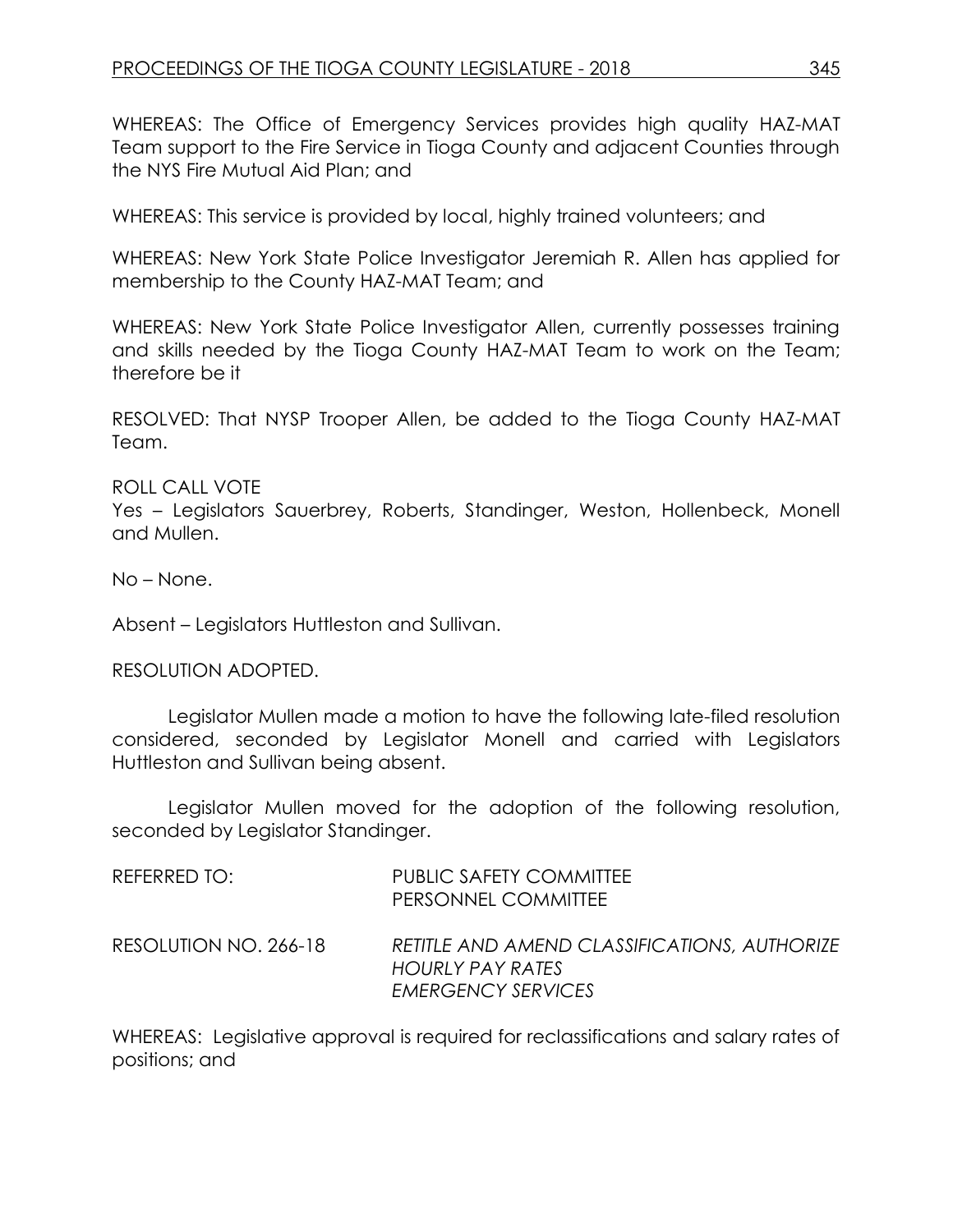WHEREAS: The Office of Emergency Services provides high quality HAZ-MAT Team support to the Fire Service in Tioga County and adjacent Counties through the NYS Fire Mutual Aid Plan; and

WHEREAS: This service is provided by local, highly trained volunteers; and

WHEREAS: New York State Police Investigator Jeremiah R. Allen has applied for membership to the County HAZ-MAT Team; and

WHEREAS: New York State Police Investigator Allen, currently possesses training and skills needed by the Tioga County HAZ-MAT Team to work on the Team; therefore be it

RESOLVED: That NYSP Trooper Allen, be added to the Tioga County HAZ-MAT Team.

ROLL CALL VOTE Yes – Legislators Sauerbrey, Roberts, Standinger, Weston, Hollenbeck, Monell and Mullen.

No – None.

Absent – Legislators Huttleston and Sullivan.

RESOLUTION ADOPTED.

Legislator Mullen made a motion to have the following late-filed resolution considered, seconded by Legislator Monell and carried with Legislators Huttleston and Sullivan being absent.

Legislator Mullen moved for the adoption of the following resolution, seconded by Legislator Standinger.

| REFERRED TO:          | <b>PUBLIC SAFETY COMMITTEE</b><br>PERSONNEL COMMITTEE                                         |
|-----------------------|-----------------------------------------------------------------------------------------------|
| RESOLUTION NO. 266-18 | RETITLE AND AMEND CLASSIFICATIONS, AUTHORIZE<br>HOURLY PAY RATES<br><b>EMERGENCY SERVICES</b> |

WHEREAS: Legislative approval is required for reclassifications and salary rates of positions; and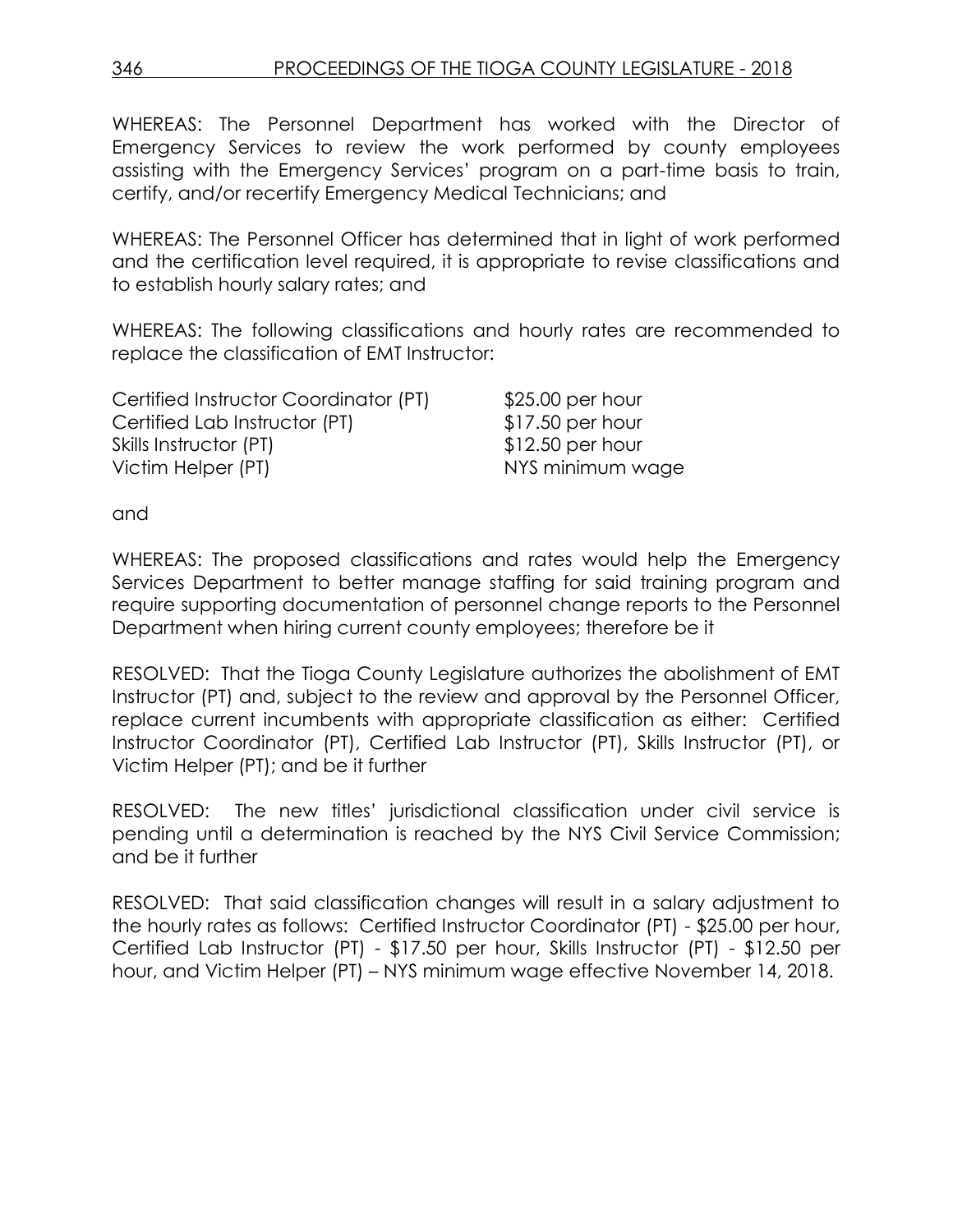WHEREAS: The Personnel Department has worked with the Director of Emergency Services to review the work performed by county employees assisting with the Emergency Services' program on a part-time basis to train, certify, and/or recertify Emergency Medical Technicians; and

WHEREAS: The Personnel Officer has determined that in light of work performed and the certification level required, it is appropriate to revise classifications and to establish hourly salary rates; and

WHEREAS: The following classifications and hourly rates are recommended to replace the classification of EMT Instructor:

| Certified Instructor Coordinator (PT) | $$25.00$ per hour |
|---------------------------------------|-------------------|
| Certified Lab Instructor (PT)         | $$17.50$ per hour |
| Skills Instructor (PT)                | $$12.50$ per hour |
| Victim Helper (PT)                    | NYS minimum wage  |

and

WHEREAS: The proposed classifications and rates would help the Emergency Services Department to better manage staffing for said training program and require supporting documentation of personnel change reports to the Personnel Department when hiring current county employees; therefore be it

RESOLVED: That the Tioga County Legislature authorizes the abolishment of EMT Instructor (PT) and, subject to the review and approval by the Personnel Officer, replace current incumbents with appropriate classification as either: Certified Instructor Coordinator (PT), Certified Lab Instructor (PT), Skills Instructor (PT), or Victim Helper (PT); and be it further

RESOLVED: The new titles' jurisdictional classification under civil service is pending until a determination is reached by the NYS Civil Service Commission; and be it further

RESOLVED: That said classification changes will result in a salary adjustment to the hourly rates as follows: Certified Instructor Coordinator (PT) - \$25.00 per hour, Certified Lab Instructor (PT) - \$17.50 per hour, Skills Instructor (PT) - \$12.50 per hour, and Victim Helper (PT) – NYS minimum wage effective November 14, 2018.